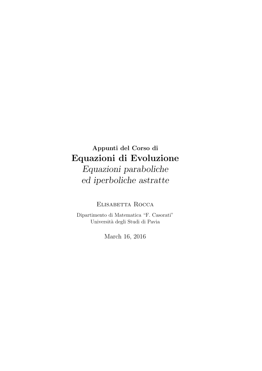## Appunti del Corso di Equazioni di Evoluzione Equazioni paraboliche ed iperboliche astratte

Elisabetta Rocca

Dipartimento di Matematica "F. Casorati" Universit`a degli Studi di Pavia

March 16, 2016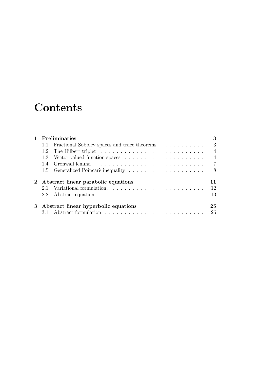# **Contents**

|   | Preliminaries                         |                                              | 3              |
|---|---------------------------------------|----------------------------------------------|----------------|
|   | 1.1                                   | Fractional Sobolev spaces and trace theorems | 3              |
|   | 1.2                                   |                                              | $\overline{4}$ |
|   |                                       |                                              | $\overline{4}$ |
|   | 1.4                                   |                                              | $\overline{7}$ |
|   |                                       |                                              | - 8            |
|   | 2 Abstract linear parabolic equations |                                              | 11.            |
|   |                                       |                                              | 12             |
|   |                                       |                                              | 13             |
| 3 | Abstract linear hyperbolic equations  |                                              |                |
|   |                                       |                                              | 25             |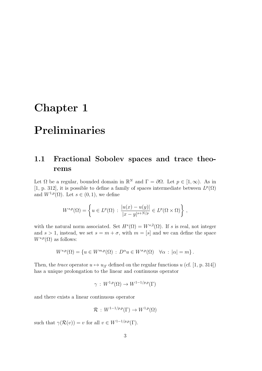## Chapter 1

# Preliminaries

## 1.1 Fractional Sobolev spaces and trace theorems

Let  $\Omega$  be a regular, bounded domain in  $\mathbb{R}^N$  and  $\Gamma = \partial \Omega$ . Let  $p \in [1, \infty)$ . As in [1, p. 312], it is possible to define a family of spaces intermediate between  $L^p(\Omega)$ and  $W^{1,p}(\Omega)$ . Let  $s \in (0,1)$ , we define

$$
W^{s,p}(\Omega) = \left\{ u \in L^p(\Omega) : \frac{|u(x) - u(y)|}{|x - y|^{s + N/p}} \in L^p(\Omega \times \Omega) \right\},\,
$$

with the natural norm associated. Set  $H^s(\Omega) = W^{s,2}(\Omega)$ . If s is real, not integer and  $s > 1$ , instead, we set  $s = m + \sigma$ , with  $m = [s]$  and we can define the space  $W^{s,p}(\Omega)$  as follows:

$$
W^{s,p}(\Omega) = \{ u \in W^{m,p}(\Omega) : D^{\alpha}u \in W^{\sigma,p}(\Omega) \quad \forall \alpha : |\alpha| = m \}.
$$

Then, the trace operator  $u \mapsto u_{\text{IF}}$  defined on the regular functions u (cf. [1, p. 314]) has a unique prolongation to the linear and continuous operator

$$
\gamma: W^{1,p}(\Omega) \to W^{1-1/p,p}(\Gamma)
$$

and there exists a linear continuous operator

$$
\mathcal{R}: W^{1-1/p,p}(\Gamma) \to W^{1,p}(\Omega)
$$

such that  $\gamma(\mathcal{R}(v)) = v$  for all  $v \in W^{1-1/p,p}(\Gamma)$ .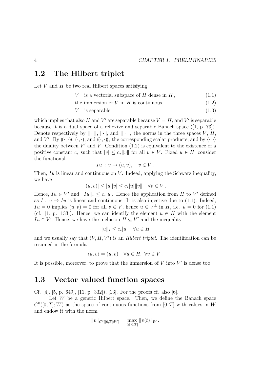## 1.2 The Hilbert triplet

Let  $V$  and  $H$  be two real Hilbert spaces satisfying

- V is a vectorial subspace of H dense in  $H$ , (1.1)
- the immersion of  $V$  in  $H$  is continuous,  $(1.2)$
- $V$  is separable,  $(1.3)$

which implies that also H and V' are separable because  $\overline{V} = H$ , and V' is separable because it is a dual space of a reflexive and separable Banach space ([1, p. 73]). Denote respectively by  $\|\cdot\|$ ,  $|\cdot|$ , and  $\|\cdot\|_*$  the norms in the three spaces V, H, and V'. By  $((\cdot, \cdot), (\cdot, \cdot), \text{ and } ((\cdot, \cdot))_{*}$  the corresponding scalar products, and by  $\langle \cdot, \cdot \rangle$ the duality between  $V'$  and  $V$ . Condition  $(1.2)$  is equivalent to the existence of a positive constant  $c_*$  such that  $|v| \leq c_* \|v\|$  for all  $v \in V$ . Fixed  $u \in H$ , consider the functional

$$
Iu: v \to (u, v), \quad v \in V.
$$

Then,  $Iu$  is linear and continuous on V. Indeed, applying the Schwarz inequality, we have

$$
|(u, v)| \le |u||v| \le c_*|u|\|v\| \quad \forall v \in V.
$$

Hence,  $Iu \in V'$  and  $||Iu||_* \leq c_*|u|$ . Hence the application from H to V' defined as  $I: u \to Iu$  is linear and continuous. It is also injective due to (1.1). Indeed,  $Iu = 0$  implies  $(u, v) = 0$  for all  $v \in V$ , hence  $u \in V^{\perp}$  in H, i.e.  $u = 0$  for (1.1) (cf. [1, p. 133]). Hence, we can identify the element  $u \in H$  with the element  $Iu \in V'$ . Hence, we have the inclusion  $H \subseteq V'$  and the inequality

$$
||u||_* \le c_*|u| \quad \forall u \in H
$$

and we usually say that  $(V, H, V')$  is an *Hilbert triplet*. The identification can be resumed in the formula

$$
\langle u, v \rangle = (u, v) \quad \forall u \in H, \ \forall v \in V.
$$

It is possible, moreover, to prove that the immersion of  $V$  into  $V'$  is dense too.

### 1.3 Vector valued function spaces

Cf. [4], [5, p. 649], [11, p. 332]), [13]. For the proofs cf. also [6].

Let W be a generic Hilbert space. Then, we define the Banach space  $C^0([0,T];W)$  as the space of continuous functions from  $[0,T]$  with values in W and endow it with the norm

$$
||v||_{C^{0}([0,T];W)} = \max_{t \in [0,T]} ||v(t)||_{W}.
$$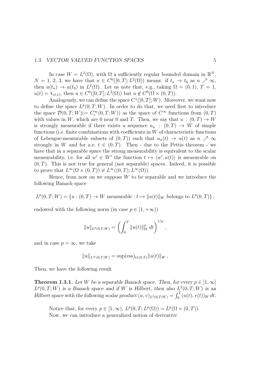#### 1.3. VECTOR VALUED FUNCTION SPACES 5

In case  $W = L^2(\Omega)$ , with  $\Omega$  a sufficiently regular bounded domain in  $\mathbb{R}^N$ ,  $N = 1, 2, 3$ , we have that  $u \in C<sup>0</sup>(0,T]$ ;  $L<sup>2</sup>(\Omega)$ ) means: if  $t_n \to t_0$  as  $n \nearrow \infty$ , then  $u(t_n) \to u(t_0)$  in  $L^2(\Omega)$ . Let us note that, e.g., taking  $\Omega = (0,1)$ ,  $T = 1$ ,  $u(t) = \chi_{(t,1)}$ , then  $u \in C^0([0,T]; L^2(\Omega))$  but  $u \notin C^0(\Omega \times (0,T))$ .

Analogously, we can define the space  $C^1([0,T];W)$ . Moreover, we want now to define the space  $L^p(0,T;W)$ . In order to do that, we need first to introduce the space  $\mathcal{D}(0,T;W) (= C_c^{\infty}(0,T;W))$  as the space of  $C^{\infty}$  functions from  $(0,T)$ with values in W, which are 0 near 0 and T. Then, we say that  $u:(0,T) \to W$ is strongly measurable if there exists a sequence  $u_n : (0, T) \to W$  of simple functions (i.e. finite combinations with coefficients in  $W$  of characteristic functions of Lebesgue-measurable subsets of  $(0, T)$  such that  $u_n(t) \to u(t)$  as  $n \nearrow \infty$ strongly in W and for a.e.  $t \in (0, T)$ . Then - due to the Pettis theorem - we have that in a separable space the strong measurability is equivalent to the scalar measurability, i.e. for all  $w' \in W'$  the function  $t \mapsto \langle w', u(t) \rangle$  is measurable on  $(0, T)$ . This is not true for general (not separable) spaces. Indeed, it is possible to prove that  $L^{\infty}(\Omega \times (0,T)) \neq L^{\infty}((0,T); L^{\infty}(\Omega)).$ 

Hence, from now on we suppose  $W$  to be separable and we introduce the following Banach space

 $L^p(0,T;W) = \{u: (0,T) \to W$  measurable :  $t \mapsto ||u(t)||_W$  belongs to  $L^p(0,T)$ ,

endowed with the following norm (in case  $p \in [1, +\infty)$ )

$$
||u||_{L^{p}(0,T;W)} = \left(\int_0^T ||u(t)||_W^p dt\right)^{1/p},
$$

and in case  $p = \infty$ , we take

$$
||u||_{L^{\infty}(0,T;W)} = \sup(\text{ess})_{t \in (0,T)} ||u(t)||_{W},
$$

Then, we have the following result

**Theorem 1.3.1.** Let W be a separable Banach space. Then, for every  $p \in [1,\infty]$  $L^p(0,T;W)$  is a Banach space and if W is Hilbert, then also  $L^2(0,T;W)$  is an Hilbert space with the following scalar product  $(u, v)_{L^2(0,T;W)} = \int_0^T (u(t), v(t))_W dt$ .

Notice that, for every  $p \in [1,\infty)$ ,  $L^p(0,T; L^p(\Omega)) = L^p(\Omega \times (0,T))$ . Now, we can introduce a generalized notion of derivative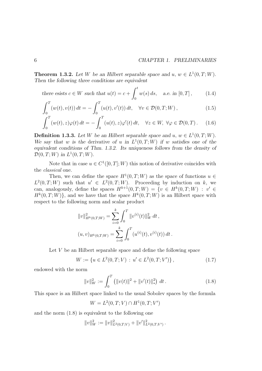**Theorem 1.3.2.** Let W be an Hilbert separable space and  $u, w \in L^1(0,T;W)$ . Then the following three conditions are equivalent

there exists 
$$
c \in W
$$
 such that  $u(t) = c + \int_0^t w(s) ds$ , a.e. in [0, T], (1.4)

$$
\int_0^T (w(t), v(t)) dt = -\int_0^T (u(t), v'(t)) dt, \quad \forall v \in \mathcal{D}(0, T; W), \tag{1.5}
$$

$$
\int_0^T (w(t), z)\varphi(t) dt = -\int_0^T (u(t), z)\varphi'(t) dt, \quad \forall z \in W, \ \forall \varphi \in \mathcal{D}(0, T). \tag{1.6}
$$

**Definition 1.3.3.** Let W be an Hilbert separable space and  $u, w \in L^1(0,T;W)$ . We say that w is the derivative of u in  $L^1(0,T;W)$  if w satisfies one of the equivalent conditions of Thm. 1.3.2. Its uniqueness follows from the density of  $\mathcal{D}(0,T;W)$  in  $L^1(0,T;W)$ .

Note that in case  $u \in C^1([0,T];W)$  this notion of derivative coincides with the classical one.

Then, we can define the space  $H^1(0,T;W)$  as the space of functions  $u \in$  $L^2(0,T;W)$  such that  $u' \in L^2(0,T;W)$ . Proceeding by induction on k, we can, analogously, define the spaces  $H^{k+1}(0,T;W) = \{v \in H^k(0,T;W) : v' \in$  $H^k(0,T;W)$ , and we have that the space  $H^k(0,T;W)$  is an Hilbert space with respect to the following norm and scalar product

$$
||v||_{H^k(0,T;W)}^2 = \sum_{i=0}^k \int_0^T ||v^{(i)}(t)||_W^2 dt,
$$
  

$$
(u,v)_{H^k(0,T;W)} = \sum_{i=0}^k \int_0^T (u^{(i)}(t), v^{(i)}(t)) dt.
$$

Let  $V$  be an Hilbert separable space and define the following space

$$
W := \{ u \in L^2(0, T; V) : u' \in L^2(0, T; V') \},
$$
\n(1.7)

endowed with the norm

$$
||v||_W^2 := \int_0^T (||v(t)||^2 + ||v'(t)||_*)^2 dt.
$$
 (1.8)

This space is an Hilbert space linked to the usual Sobolev spaces by the formula

$$
W = L^{2}(0, T; V) \cap H^{1}(0, T; V')
$$

and the norm (1.8) is equivalent to the following one

 $||v||_W^2 := ||v||_{L^2(0,T;V)}^2 + ||v'||_{L^2(0,T;V')}^2$ .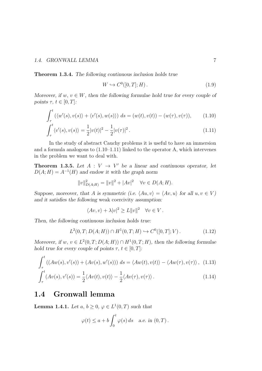### 1.4. GRONWALL LEMMA 7

#### Theorem 1.3.4. The following continuous inclusion holds true

$$
W \hookrightarrow C^0([0,T];H). \tag{1.9}
$$

Moreover, if  $w, v \in W$ , then the following formulae hold true for every couple of points  $\tau, t \in [0, T]$ :

$$
\int_{\tau}^{t} \left( \langle w'(s), v(s) \rangle + \langle v'(s), w(s) \rangle \right) ds = (w(t), v(t)) - (w(\tau), v(\tau)), \tag{1.10}
$$

$$
\int_{\tau}^{t} \langle v'(s), v(s) \rangle = \frac{1}{2} |v(t)|^2 - \frac{1}{2} |v(\tau)|^2.
$$
 (1.11)

In the study of abstract Cauchy problems it is useful to have an immersion and a formula analogous to (1.10–1.11) linked to the operator A, which intervenes in the problem we want to deal with.

**Theorem 1.3.5.** Let  $A: V \rightarrow V'$  be a linear and continuous operator, let  $D(A; H) = A^{-1}(H)$  and endow it with the graph norm

$$
||v||_{D(A;H)}^2 = ||v||^2 + |Av|^2 \quad \forall v \in D(A;H).
$$

Suppose, moreover, that A is symmetric (i.e.  $\langle Au, v \rangle = \langle Av, u \rangle$  for all  $u, v \in V$ ) and it satisfies the following weak coercivity assumption:

$$
\langle Av, v \rangle + \lambda |v|^2 \ge L \|v\|^2 \quad \forall v \in V.
$$

Then, the following continuous inclusion holds true:

$$
L^{2}(0,T;D(A;H)) \cap H^{1}(0,T;H) \hookrightarrow C^{0}([0,T];V). \qquad (1.12)
$$

Moreover, if  $w, v \in L^2(0,T;D(A;H)) \cap H^1(0,T;H)$ , then the following formulae hold true for every couple of points  $\tau, t \in [0, T]$ :

$$
\int_{\tau}^{t} \left( \left( Aw(s), v'(s) \right) + \left( Av(s), w'(s) \right) \right) ds = \langle Aw(t), v(t) \rangle - \langle Aw(\tau), v(\tau) \rangle, \tag{1.13}
$$

$$
\int_{\tau}^{t} (Av(s), v'(s)) = \frac{1}{2} \langle Av(t), v(t) \rangle - \frac{1}{2} \langle Av(\tau), v(\tau) \rangle.
$$
 (1.14)

## 1.4 Gronwall lemma

**Lemma 1.4.1.** Let  $a, b \geq 0, \varphi \in L^1(0, T)$  such that

$$
\varphi(t) \le a + b \int_0^t \varphi(s) \, ds \quad \text{a.e. in } (0, T) \, .
$$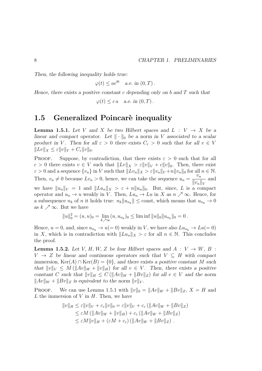Then, the following inequality holds true:

$$
\varphi(t) \le a e^{bt} \quad a.e. \text{ in } (0, T) \, .
$$

Hence, there exists a positive constant c depending only on  $b$  and  $T$  such that

 $\varphi(t) \leq c \, a$  a.e. in  $(0, T)$ .

## 1.5 Generalized Poincare inequality

**Lemma 1.5.1.** Let V and X be two Hilbert spaces and  $L : V \rightarrow X$  be a linear and compact operator. Let  $\|\cdot\|_0$  be a norm in V associated to a scalar product in V. Then for all  $\varepsilon > 0$  there exists  $C_{\varepsilon} > 0$  such that for all  $v \in V$  $||Lv||_X \leq \varepsilon ||v||_V + C_{\varepsilon} ||v||_0.$ 

**PROOF.** Suppose, by contradiction, that there exists  $\varepsilon > 0$  such that for all  $c > 0$  there exists  $v \in V$  such that  $||Lv||_X > \varepsilon ||v||_V + c||v||_0$ . Then, there exist  $\varepsilon > 0$  and a sequence  $\{v_n\}$  in V such that  $||Lv_n||_X > \varepsilon ||v_n||_V + n||v_n||_0$  for all  $n \in \mathbb{N}$ . Then,  $v_n \neq 0$  because  $Lv_n > 0$ , hence, we can take the sequence  $u_n = \frac{v_n}{\ln n}$  $||v_n||_V$ and we have  $||u_n||_V = 1$  and  $||Lu_n||_X > \varepsilon + n||u_n||_0$ . But, since, L is a compact operator and  $u_n \to u$  weakly in V. Then,  $Lu_n \to Lu$  in X as  $n \nearrow \infty$ . Hence, for a subsequence  $n_k$  of n it holds true:  $n_k ||u_{n_k}|| \leq$  const, which means that  $u_{n_k} \to 0$ as  $k \nearrow \infty$ . But we have

 $||u||_0^2 = (u, u)_0 = \lim_{k \nearrow \infty} (u, u_{n_k})_0 \le \liminf ||u||_0 ||u_{n_k}||_0 = 0.$ 

Hence,  $u = 0$ , and, since  $u_{n_k} \to u (= 0)$  weakly in V, we have also  $Lu_{n_k} \to Lu (= 0)$ in X, which is in contradiction with  $||Lu_n||_X > \varepsilon$  for all  $n \in \mathbb{N}$ . This concludes the proof.

**Lemma 1.5.2.** Let V, H, W, Z be four Hilbert spaces and  $A: V \rightarrow W$ , B:  $V \rightarrow Z$  be linear and continuous operators such that  $V \subseteq H$  with compact immersion,  $\text{Ker}(A) \cap \text{Ker}(B) = \{0\}$ , and there exists a positive constant M such that  $||v||_V \leq M (||Av||_W + ||v||_H)$  for all  $v \in V$ . Then, there exists a positive constant C such that  $||v||_H \leq C (||Av||_W + ||Bv||_Z)$  for all  $v \in V$  and the norm  $\|Av\|_W + \|Bv\|_Z$  is equivalent to the norm  $\|v\|_V$ .

**PROOF.** We can use Lemma 1.5.1 with  $||v||_0 = ||Av||_W + ||Bv||_Z$ ,  $X = H$  and  $L$  the immersion of  $V$  in  $H$ . Then, we have

$$
||v||_H \leq \varepsilon ||v||_V + c_{\varepsilon} ||v||_0 = \varepsilon ||v||_V + c_{\varepsilon} (||Av||_W + ||Bv||_Z)
$$
  
\n
$$
\leq \varepsilon M (||Av||_W + ||v||_H) + c_{\varepsilon} (||Av||_W + ||Bv||_Z)
$$
  
\n
$$
\leq \varepsilon M ||v||_H + (\varepsilon M + c_{\varepsilon}) (||Av||_W + ||Bv||_Z).
$$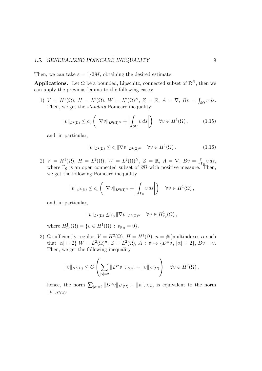Then, we can take  $\varepsilon = 1/2M$ , obtaining the desired estimate.

**Applications.** Let  $\Omega$  be a bounded, Lipschitz, connected subset of  $\mathbb{R}^N$ , then we can apply the previous lemma to the following cases:

1)  $V = H^{1}(\Omega)$ ,  $H = L^{2}(\Omega)$ ,  $W = L^{2}(\Omega)^{N}$ ,  $Z = \mathbb{R}$ ,  $A = \nabla$ ,  $Bv = \int_{\partial\Omega} v ds$ . Then, we get the *standard* Poincarè inequality

$$
||v||_{L^{2}(\Omega)} \leq c_{p} \left( ||\nabla v||_{L^{2}(\Omega)^{N}} + \left| \int_{\partial\Omega} v \, ds \right| \right) \quad \forall v \in H^{1}(\Omega), \tag{1.15}
$$

and, in particular,

$$
||v||_{L^{2}(\Omega)} \leq c_p ||\nabla v||_{L^{2}(\Omega)^{N}} \quad \forall v \in H_0^1(\Omega). \tag{1.16}
$$

2)  $V = H^{1}(\Omega)$ ,  $H = L^{2}(\Omega)$ ,  $W = L^{2}(\Omega)^{N}$ ,  $Z = \mathbb{R}$ ,  $A = \nabla$ ,  $Bv = \int_{\Gamma_{0}} v ds$ , where  $\Gamma_0$  is an open connected subset of  $\partial\Omega$  with positive measure. Then, we get the following Poincare inequality

$$
||v||_{L^{2}(\Omega)} \leq c_{p} \left( ||\nabla v||_{L^{2}(\Omega)^{N}} + \left| \int_{\Gamma_{0}} v \, ds \right| \right) \quad \forall v \in H^{1}(\Omega),
$$

and, in particular,

$$
||v||_{L^2(\Omega)} \leq c_p ||\nabla v||_{L^2(\Omega)^N} \quad \forall v \in H^1_{\Gamma_0}(\Omega),
$$

where  $H^1_{\Gamma_0}(\Omega) = \{ v \in H^1(\Omega) : v_{|\Gamma_0} = 0 \}.$ 

3)  $\Omega$  sufficiently regular,  $V = H^2(\Omega)$ ,  $H = H^1(\Omega)$ ,  $n = \text{\#{multindexes } } \alpha$  such that  $|\alpha| = 2$   $W = L^2(\Omega)^n$ ,  $Z = L^2(\Omega)$ ,  $A: v \mapsto \{D^{\alpha}v, |\alpha| = 2\}$ ,  $Bv = v$ . Then, we get the following inequality

$$
||v||_{H^1(\Omega)} \le C \left( \sum_{|\alpha|=2} ||D^{\alpha}v||_{L^2(\Omega)} + ||v||_{L^2(\Omega)} \right) \quad \forall v \in H^2(\Omega),
$$

hence, the norm  $\sum_{|\alpha|=2} ||D^{\alpha}v||_{L^2(\Omega)} + ||v||_{L^2(\Omega)}$  is equivalent to the norm  $||v||_{H^2(\Omega)}$ .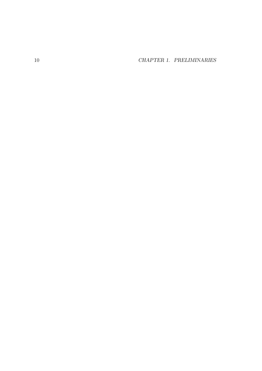CHAPTER 1. PRELIMINARIES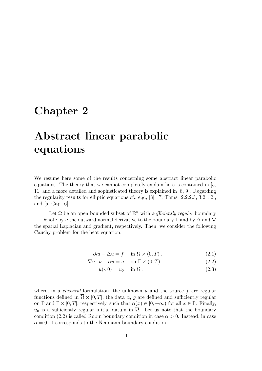# Chapter 2

# Abstract linear parabolic equations

We resume here some of the results concerning some abstract linear parabolic equations. The theory that we cannot completely explain here is contained in [5, 11] and a more detailed and sophisticated theory is explained in [8, 9]. Regarding the regularity results for elliptic equations cf., e.g., [3], [7, Thms. 2.2.2.3, 3.2.1.2], and [5, Cap. 6].

Let  $\Omega$  be an open bounded subset of  $\mathbb{R}^n$  with *sufficiently regular* boundary Γ. Denote by *ν* the outward normal derivative to the boundary Γ and by  $\Delta$  and  $\nabla$ the spatial Laplacian and gradient, respectively. Then, we consider the following Cauchy problem for the heat equation:

$$
\partial_t u - \Delta u = f \quad \text{in } \Omega \times (0, T), \tag{2.1}
$$

$$
\nabla u \cdot \nu + \alpha u = g \quad \text{on } \Gamma \times (0, T), \tag{2.2}
$$

$$
u(\cdot,0) = u_0 \quad \text{in } \Omega \,, \tag{2.3}
$$

where, in a *classical* formulation, the unknown  $u$  and the source  $f$  are regular functions defined in  $\overline{\Omega} \times [0, T]$ , the data  $\alpha$ , g are defined and sufficiently regular on Γ and Γ × [0, T], respectively, such that  $\alpha(x) \in [0, +\infty)$  for all  $x \in \Gamma$ . Finally,  $u_0$  is a sufficiently regular initial datum in  $\overline{\Omega}$ . Let us note that the boundary condition (2.2) is called Robin boundary condition in case  $\alpha > 0$ . Instead, in case  $\alpha = 0$ , it corresponds to the Neumann boundary condition.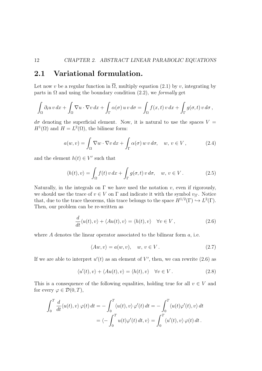## 2.1 Variational formulation.

Let now v be a regular function in  $\overline{\Omega}$ , multiply equation (2.1) by v, integrating by parts in  $\Omega$  and using the boundary condition (2.2), we *formally* get

$$
\int_{\Omega} \partial_t u \, v \, dx + \int_{\Omega} \nabla u \cdot \nabla v \, dx + \int_{\Gamma} \alpha(\sigma) \, u \, v \, d\sigma = \int_{\Omega} f(x, t) \, v \, dx + \int_{\Gamma} g(\sigma, t) \, v \, d\sigma,
$$

 $d\sigma$  denoting the superficial element. Now, it is natural to use the spaces  $V =$  $H^1(\Omega)$  and  $H = L^2(\Omega)$ , the bilinear form:

$$
a(w,v) = \int_{\Omega} \nabla w \cdot \nabla v \, dx + \int_{\Gamma} \alpha(\sigma) \, w \, v \, d\sigma, \quad w, \, v \in V, \tag{2.4}
$$

and the element  $h(t) \in V'$  such that

$$
\langle h(t), v \rangle = \int_{\Omega} f(t) v \, dx + \int_{\Gamma} g(\sigma, t) v \, d\sigma, \quad w, v \in V. \tag{2.5}
$$

Naturally, in the integrals on  $\Gamma$  we have used the notation v, even if rigorously, we should use the trace of  $v \in V$  on  $\Gamma$  and indicate it with the symbol  $v_{\Gamma}$ . Notice that, due to the trace theorems, this trace belongs to the space  $H^{1/2}(\Gamma) \hookrightarrow L^2(\Gamma)$ . Then, our problem can be re-written as

$$
\frac{d}{dt}\langle u(t), v \rangle + \langle Au(t), v \rangle = \langle h(t), v \rangle \quad \forall v \in V, \tag{2.6}
$$

where  $A$  denotes the linear operator associated to the bilinear form  $a$ , i.e.

$$
\langle Aw, v \rangle = a(w, v), \quad w, v \in V. \tag{2.7}
$$

If we are able to interpret  $u'(t)$  as an element of V', then, we can rewrite (2.6) as

$$
\langle u'(t), v \rangle + \langle Au(t), v \rangle = \langle h(t), v \rangle \quad \forall v \in V. \tag{2.8}
$$

This is a consequence of the following equalities, holding true for all  $v \in V$  and for every  $\varphi \in \mathcal{D}(0,T)$ ,

$$
\int_0^T \frac{d}{dt} \langle u(t), v \rangle \varphi(t) dt = -\int_0^T \langle u(t), v \rangle \varphi'(t) dt = -\int_0^T \langle u(t) \varphi'(t), v \rangle dt
$$
  
=  $\langle -\int_0^T u(t) \varphi'(t) dt, v \rangle = \int_0^T \langle u'(t), v \rangle \varphi(t) dt.$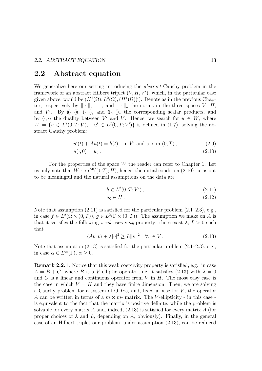## 2.2 Abstract equation

We generalize here our setting introducing the abstract Cauchy problem in the framework of an abstract Hilbert triplet  $(V, H, V')$ , which, in the particular case given above, would be  $(H^1(\Omega), L^2(\Omega), (H^1(\Omega))')$ . Denote as in the previous Chapter, respectively by  $\|\cdot\|$ ,  $|\cdot|$ , and  $\|\cdot\|_*$  the norms in the three spaces V, H, and V'. By  $((\cdot,\cdot))$ ,  $(\cdot,\cdot)$ , and  $((\cdot,\cdot))$  the corresponding scalar products, and by  $\langle \cdot, \cdot \rangle$  the duality between V' and V. Hence, we search for  $u \in W$ , where  $W = \{u \in L^2(0,T;V), u' \in L^2(0,T;V')\}$  is defined in (1.7), solving the abstract Cauchy problem:

$$
u'(t) + Au(t) = h(t) \text{ in } V' \text{ and a.e. in } (0, T), \qquad (2.9)
$$

$$
u(\cdot,0) = u_0. \tag{2.10}
$$

For the properties of the space  $W$  the reader can refer to Chapter 1. Let us only note that  $W \hookrightarrow C^0([0,T]; H)$ , hence, the initial condition (2.10) turns out to be meaningful and the natural assumptions on the data are

$$
h \in L^2(0, T; V'), \tag{2.11}
$$

$$
u_0 \in H. \tag{2.12}
$$

Note that assumption  $(2.11)$  is satisfied for the particular problem  $(2.1–2.3)$ , e.g., in case  $f \in L^2(\Omega \times (0,T))$ ,  $g \in L^2(\Gamma \times (0,T))$ . The assumption we make on A is that it satisfies the following *weak coercivity* property: there exist  $\lambda, L > 0$  such that

$$
\langle Av, v \rangle + \lambda |v|^2 \ge L \|v\|^2 \quad \forall v \in V. \tag{2.13}
$$

Note that assumption  $(2.13)$  is satisfied for the particular problem  $(2.1–2.3)$ , e.g., in case  $\alpha \in L^{\infty}(\Gamma)$ ,  $\alpha \geq 0$ .

Remark 2.2.1. Notice that this weak coercivity property is satisfied, e.g., in case  $A = B + C$ , where B is a V-elliptic operator, i.e. it satisfies (2.13) with  $\lambda = 0$ and  $C$  is a linear and continuous operator from  $V$  in  $H$ . The most easy case is the case in which  $V = H$  and they have finite dimension. Then, we are solving a Cauchy problem for a system of ODEs, and, fixed a base for  $V$ , the operator A can be written in terms of a  $m \times m$ - matrix. The V-ellipticity - in this case is equivalent to the fact that the matrix is positive definite, while the problem is solvable for every matrix A and, indeed,  $(2.13)$  is satisfied for every matrix A (for proper choices of  $\lambda$  and L, depending on A, obviously). Finally, in the general case of an Hilbert triplet our problem, under assumption (2.13), can be reduced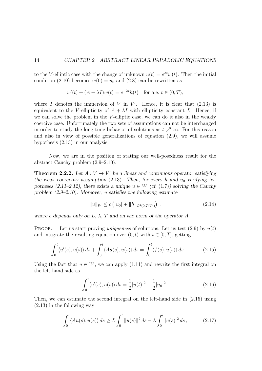to the V-elliptic case with the change of unknown  $u(t) = e^{\lambda t}w(t)$ . Then the initial condition (2.10) becomes  $w(0) = u_0$  and (2.8) can be rewritten as

$$
w'(t) + (A + \lambda I)w(t) = e^{-\lambda t}h(t) \quad \text{for a.e. } t \in (0, T),
$$

where I denotes the immersion of V in V'. Hence, it is clear that  $(2.13)$  is equivalent to the V-ellipticity of  $A + \lambda I$  with ellipticity constant L. Hence, if we can solve the problem in the V-elliptic case, we can do it also in the weakly coercive case. Unfortunately the two sets of assumptions can not be interchanged in order to study the long time behavior of solutions as  $t \nearrow \infty$ . For this reason and also in view of possible generalizations of equation (2.9), we will assume hypothesis (2.13) in our analysis.

Now, we are in the position of stating our well-posedness result for the abstract Cauchy problem (2.9–2.10).

**Theorem 2.2.2.** Let  $A: V \to V'$  be a linear and continuous operator satisfying the weak coercivity assumption (2.13). Then, for every h and  $u_0$  verifying hypotheses (2.11–2.12), there exists a unique  $u \in W$  (cf. (1.7)) solving the Cauchy problem (2.9–2.10). Moreover, u satisfies the following estimate

$$
||u||_{W} \le c (|u_0| + ||h||_{L^2(0,T;V')}), \qquad (2.14)
$$

where c depends only on L,  $\lambda$ , T and on the norm of the operator A.

**PROOF.** Let us start proving *uniqueness* of solutions. Let us test  $(2.9)$  by  $u(t)$ and integrate the resulting equation over  $(0, t)$  with  $t \in [0, T]$ , getting

$$
\int_0^t \langle u'(s), u(s) \rangle ds + \int_0^t \langle Au(s), u(s) \rangle ds = \int_0^t \langle f(s), u(s) \rangle ds.
$$
 (2.15)

Using the fact that  $u \in W$ , we can apply (1.11) and rewrite the first integral on the left-hand side as

$$
\int_0^t \langle u'(s), u(s) \rangle ds = \frac{1}{2} |u(t)|^2 - \frac{1}{2} |u_0|^2.
$$
 (2.16)

Then, we can estimate the second integral on the left-hand side in (2.15) using (2.13) in the following way

$$
\int_0^t \langle Au(s), u(s) \rangle ds \ge L \int_0^t \|u(s)\|^2 ds - \lambda \int_0^t |u(s)|^2 ds,
$$
 (2.17)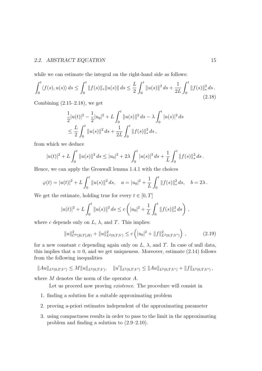### 2.2. ABSTRACT EQUATION 15

while we can estimate the integral on the right-hand side as follows:

$$
\int_0^t \langle f(s), u(s) \rangle ds \le \int_0^t \|f(s)\|_{*} \|u(s)\| ds \le \frac{L}{2} \int_0^t \|u(s)\|^2 ds + \frac{1}{2L} \int_0^t \|f(s)\|_{*}^2 ds.
$$
\n(2.18)

Combining  $(2.15-2.18)$ , we get

$$
\frac{1}{2}|u(t)|^2 - \frac{1}{2}|u_0|^2 + L \int_0^t ||u(s)||^2 ds - \lambda \int_0^t |u(s)|^2 ds
$$
  

$$
\leq \frac{L}{2} \int_0^t ||u(s)||^2 ds + \frac{1}{2L} \int_0^t ||f(s)||_*^2 ds,
$$

from which we deduce

$$
|u(t)|^2 + L \int_0^t \|u(s)\|^2 ds \le |u_0|^2 + 2\lambda \int_0^t |u(s)|^2 ds + \frac{1}{L} \int_0^t \|f(s)\|_*^2 ds.
$$

Hence, we can apply the Gronwall lemma 1.4.1 with the choices

$$
\varphi(t) = |u(t)|^2 + L \int_0^t \|u(s)\|^2 ds, \quad a = |u_0|^2 + \frac{1}{L} \int_0^t \|f(s)\|_*^2 ds, \quad b = 2\lambda.
$$

We get the estimate, holding true for every  $t \in [0, T]$ 

$$
|u(t)|^2 + L \int_0^t \|u(s)\|^2 ds \leq c \left( |u_0|^2 + \frac{1}{L} \int_0^t \|f(s)\|_{*}^2 ds \right),
$$

where c depends only on  $L$ ,  $\lambda$ , and T. This implies:

$$
||u||_{C^{0}([0,T];H)}^{2} + ||u||_{L^{2}(0,T;V)}^{2} \le c\left( |u_{0}|^{2} + ||f||_{L^{2}(0,T;V')}^{2} \right),
$$
 (2.19)

for a new constant c depending again only on L,  $\lambda$ , and T. In case of null data, this implies that  $u \equiv 0$ , and we get uniqueness. Moreover, estimate (2.14) follows from the following inequalities

$$
||Au||_{L^2(0,T;V')} \leq M||u||_{L^2(0,T;V)}, \quad ||u'||_{L^2(0,T;V')} \leq ||Au||_{L^2(0,T;V')} + ||f||_{L^2(0,T;V')} ,
$$

where M denotes the norm of the operator A.

Let us proceed now proving *existence*. The procedure will consist in

- 1. finding a solution for a suitable approximating problem
- 2. proving a-priori estimates independent of the approximating parameter
- 3. using compactness results in order to pass to the limit in the approximating problem and finding a solution to (2.9–2.10).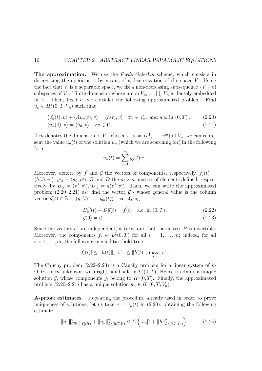**The approximation.** We use the Faedo-Galerkin scheme, which consists in discretizing the operator  $A$  by means of a discretization of the space  $V$ . Using the fact that V is a separable space, we fix a non-decreasing subsequence  $\{V_n\}$  of subspaces of V of finite dimension whose union  $V_{\infty} := \bigcup_n V_n$  is densely embedded in  $V$ . Then, fixed  $n$ , we consider the following approximated problem. Find  $u_n \in H^1(0,T;V_n)$  such that

$$
\langle u'_n(t), v \rangle + \langle Au_n(t), v \rangle = \langle h(t), v \rangle \quad \forall v \in V_n, \text{ and a.e. in } (0, T), \quad (2.20)
$$

$$
\langle u_n(0), v \rangle = \langle u_0, v \rangle \quad \forall v \in V_n. \tag{2.21}
$$

If m denotes the dimension of  $V_n$ , chosen a basis  $(v^1, \ldots, v^m)$  of  $V_n$ , we can represent the value  $u_n(t)$  of the solution  $u_n$  (which we are searching for) in the following form:

$$
u_n(t) = \sum_{j=1}^m y_j(t)v^j.
$$

Moreover, denote by  $\vec{f}$  and  $\vec{y}$  the vectors of components, respectively,  $f_i(t)$  $\langle h(t), v^j \rangle$ ,  $y_{0j} = \langle u_0, v^j \rangle$ , B and D the  $m \times m$ -matrix of elements defined, respectively, by  $B_{ij} = (v^j, v^i)$ ,  $D_{ij} = a(v^j, v^i)$ . Then, we can write the approximated problem  $(2.20-2.21)$  as: find the vector  $\vec{y}$  - whose general value is the column vector  $\vec{y}(t) \in \mathbb{R}^m$ :  $(y_1(t), \ldots, y_m(t))$  - satisfying

$$
B\vec{y'}(t) + D\vec{y}(t) = \vec{f}(t) \quad \text{a.e. in } (0, T), \tag{2.22}
$$

$$
\vec{y}(0) = \vec{y}_0 \,. \tag{2.23}
$$

Since the vectors  $v^i$  are independent, it turns out that the matrix  $B$  is invertible. Moreover, the components  $f_i \in L^2(0,T)$  for all  $i = 1,\ldots,m$ ; indeed, for all  $i = 1, \ldots, m$ , the following inequalities hold true:

$$
|f_i(t)| \leq ||h(t)||_*||v^i|| \leq ||h(t)||_* \max_i ||v^i||.
$$

The Cauchy problem  $(2.22-2.23)$  is a Cauchy problem for a linear system of m ODEs in m unknowns with right-hand side in  $L^2(0,T)$ . Hence it admits a unique solution  $\vec{y}$ , whose components  $y_i$  belong to  $H^1(0,T)$ . Finally, the approximated problem  $(2.20-2.21)$  has a unique solution  $u_n \in H^1(0,T; V_n)$ .

A-priori estimates. Repeating the procedure already used in order to prove uniqueness of solutions, let us take  $v = u_n(t)$  in (2.20), obtaining the following estimate

$$
||u_n||_{C^0([0,T];H)}^2 + ||u_n||_{L^2(0,T;V)}^2 \le C\left(|u_0|^2 + ||h||_{L^2(0,T;V')}^2\right),\tag{2.24}
$$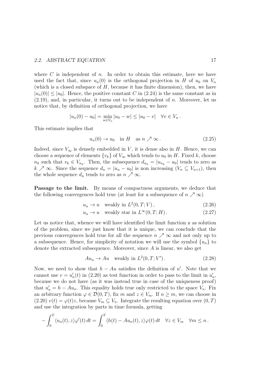#### 2.2. ABSTRACT EQUATION 17

where  $C$  is independent of  $n$ . In order to obtain this estimate, here we have used the fact that, since  $u_n(0)$  is the orthogonal projection in H of  $u_0$  on  $V_n$ (which is a closed subspace of  $H$ , because it has finite dimension), then, we have  $|u_n(0)| \leq |u_0|$ . Hence, the positive constant C in (2.24) is the same constant as in  $(2.19)$ , and, in particular, it turns out to be independent of n. Moreover, let us notice that, by definition of orthogonal projection, we have

$$
|u_n(0) - u_0| = \min_{w \in V_n} |u_0 - w| \le |u_0 - v| \quad \forall v \in V_n.
$$

This estimate implies that

$$
u_n(0) \to u_0 \quad \text{in } H \quad \text{as } n \nearrow \infty \,.
$$
 (2.25)

Indeed, since  $V_{\infty}$  is densely embedded in V, it is dense also in H. Hence, we can choose a sequence of elements  $\{v_k\}$  of  $V_\infty$  which tends to  $u_0$  in H. Fixed k, choose  $n_k$  such that  $v_k \in V_{n_k}$ . Then, the subsequence  $d_{n_k} = |u_{n_k} - u_0|$  tends to zero as  $k \nearrow \infty$ . Since the sequence  $d_n = |u_n - u_0|$  is non increasing  $(V_n \subseteq V_{n+1})$ , then the whole sequence  $d_n$  tends to zero as  $n \nearrow \infty$ .

Passage to the limit. By means of compactness arguments, we deduce that the following convergences hold true (at least for a subsequence of  $n \nearrow \infty$ )

$$
u_n \to u \quad \text{weakly in } L^2(0, T; V), \tag{2.26}
$$

$$
u_n \to u \quad \text{weakly star in } L^{\infty}(0, T; H). \tag{2.27}
$$

Let us notice that, whence we will have identified the limit function  $u$  as solution of the problem, since we just know that it is unique, we can conclude that the previous convergences hold true for all the sequence  $n \nearrow \infty$  and not only up to a subsequence. Hence, for simplicity of notation we will use the symbol  $\{u_n\}$  to denote the extracted subsequence. Moreover, since A is linear, we also get

$$
Au_n \to Au \quad \text{weakly in } L^2(0, T; V'). \tag{2.28}
$$

Now, we need to show that  $h - Au$  satisfies the definition of u'. Note that we cannot use  $v = u'_n(t)$  in (2.20) as test function in order to pass to the limit in  $u'_n$ , because we do not have (as it was instead true in case of the uniqueness proof) that  $u'_n = h - Au_n$ . This equality holds true only restricted to the space  $V_n$ . Fix an arbitrary function  $\varphi \in \mathcal{D}(0,T)$ , fix m and  $z \in V_m$ . If  $n \geq m$ , we can choose in (2.20)  $v(t) = \varphi(t)z$ , because  $V_m \subseteq V_n$ . Integrate the resulting equation over  $(0, T)$ and use the integration by parts in time formula, getting

$$
-\int_0^T \langle u_n(t), z \rangle \varphi'(t) dt = \int_0^T \langle h(t) - Au_n(t), z \rangle \varphi(t) dt \quad \forall z \in V_m \quad \forall m \le n.
$$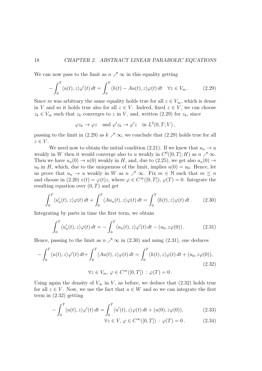We can now pass to the limit as  $n \nearrow \infty$  in this equality getting

$$
-\int_0^T \langle u(t), z \rangle \varphi'(t) dt = \int_0^T \langle h(t) - Au(t), z \rangle \varphi(t) dt \quad \forall z \in V_m.
$$
 (2.29)

Since m was arbitrary the same equality holds true for all  $z \in V_{\infty}$ , which is dense in V and so it holds true also for all  $z \in V$ . Indeed, fixed  $z \in V$ , we can choose  $z_k \in V_\infty$  such that  $z_k$  converges to z in V, and, written (2.29) for  $z_k$ , since

$$
\varphi z_k \to \varphi z
$$
 and  $\varphi' z_k \to \varphi' z$  in  $L^2(0,T;V)$ ,

passing to the limit in (2.29) as  $k \nearrow \infty$ , we conclude that (2.29) holds true for all  $z \in V$ .

We need now to obtain the initial condition (2.21). If we knew that  $u_n \to u$ weakly in W then it would converge also to u weakly in  $C^0([0,T];H)$  as  $n \nearrow \infty$ . Then we have  $u_n(0) \to u(0)$  weakly in H, and, due to (2.25), we get also  $u_n(0) \to$  $u_0$  in H, which, due to the uniqueness of the limit, implies  $u(0) = u_0$ . Hence, let us prove that  $u_n \to u$  weakly in W as  $n \nearrow \infty$ . Fix  $m \in \mathbb{N}$  such that  $m \leq n$ and choose in (2.20)  $v(t) = \varphi(t)z$ , where  $\varphi \in C^{\infty}([0, T])$ ,  $\varphi(T) = 0$ . Integrate the resulting equation over  $(0, T)$  and get

$$
\int_0^T \langle u'_n(t), z \rangle \varphi(t) dt + \int_0^T \langle Au_n(t), z \rangle \varphi(t) dt = \int_0^T \langle h(t), z \rangle \varphi(t) dt.
$$
 (2.30)

Integrating by parts in time the first term, we obtain

$$
\int_0^T \langle u'_n(t), z \rangle \varphi(t) dt = -\int_0^T \langle u_n(t), z \rangle \varphi'(t) dt - (u_0, z\varphi(0)). \tag{2.31}
$$

Hence, passing to the limit as  $n \nearrow \infty$  in (2.30) and using (2.31), one deduces

$$
-\int_0^T \langle u(t), z \rangle \varphi'(t) dt + \int_0^T \langle Au(t), z \rangle \varphi(t) dt = \int_0^T \langle h(t), z \rangle \varphi(t) dt + (u_0, z\varphi(0)),
$$
  

$$
\forall z \in V_m, \varphi \in C^\infty([0, T]) : \varphi(T) = 0.
$$
 (2.32)

Using again the density of  $V_\infty$  in V, as before, we deduce that (2.32) holds true for all  $z \in V$ . Now, we use the fact that  $u \in W$  and so we can integrate the first term in (2.32) getting

$$
-\int_0^T \langle u(t), z \rangle \varphi'(t) dt = \int_0^T \langle u'(t), z \rangle \varphi(t) dt + (u(0), z\varphi(0)), \tag{2.33}
$$

$$
\forall z \in V, \, \varphi \in C^{\infty}([0, T]) : \, \varphi(T) = 0. \tag{2.34}
$$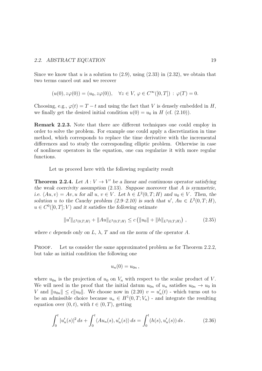Since we know that  $u$  is a solution to  $(2.9)$ , using  $(2.33)$  in  $(2.32)$ , we obtain that two terms cancel out and we recover

$$
(u(0), z\varphi(0)) = (u_0, z\varphi(0)), \quad \forall z \in V, \varphi \in C^{\infty}([0, T]) : \varphi(T) = 0.
$$

Choosing, e.g.,  $\varphi(t) = T - t$  and using the fact that V is densely embedded in H, we finally get the desired initial condition  $u(0) = u_0$  in H (cf. (2.10)).

Remark 2.2.3. Note that there are different techniques one could employ in order to solve the problem. For example one could apply a discretization in time method, which corresponds to replace the time derivative with the incremental differences and to study the corresponding elliptic problem. Otherwise in case of nonlinear operators in the equation, one can regularize it with more regular functions.

Let us proceed here with the following regularity result

**Theorem 2.2.4.** Let  $A: V \to V'$  be a linear and continuous operator satisfying the weak coercivity assumption  $(2.13)$ . Suppose moreover that A is symmetric, i.e.  $\langle Au, v \rangle = Av, u$  for all  $u, v \in V$ . Let  $h \in L^2(0, T; H)$  and  $u_0 \in V$ . Then, the solution u to the Cauchy problem  $(2.9-2.10)$  is such that  $u'$ ,  $Au \in L^2(0,T;H)$ ,  $u \in C<sup>0</sup>(0,T]; V$  and it satisfies the following estimate

$$
||u'||_{L^{2}(0,T;H)} + ||Au||_{L^{2}(0,T;H)} \leq c (||u_{0}|| + ||h||_{L^{2}(0,T;H)}), \qquad (2.35)
$$

where c depends only on L,  $\lambda$ , T and on the norm of the operator A.

PROOF. Let us consider the same approximated problem as for Theorem 2.2.2, but take as initial condition the following one

$$
u_n(0)=u_{0n},
$$

where  $u_{0n}$  is the projection of  $u_0$  on  $V_n$  with respect to the scalar product of V. We will need in the proof that the initial datum  $u_{0n}$  of  $u_n$  satisfies  $u_{0n} \to u_0$  in V and  $||u_{0n}|| \le c||u_0||$ . We choose now in (2.20)  $v = u'_n(t)$  - which turns out to be an admissible choice because  $u_n \in H^1(0,T;V_n)$  - and integrate the resulting equation over  $(0, t)$ , with  $t \in (0, T)$ , getting

$$
\int_0^t |u'_n(s)|^2 \, ds + \int_0^t \langle Au_n(s), u'_n(s) \rangle \, ds = \int_0^t (h(s), u'_n(s)) \, ds. \tag{2.36}
$$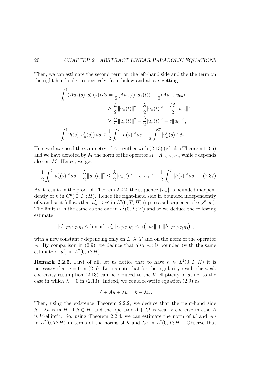Then, we can estimate the second term on the left-hand side and the the term on the right-hand side, respectively, from below and above, getting

$$
\int_0^t \langle Au_n(s), u'_n(s) \rangle ds = \frac{1}{2} \langle Au_n(t), u_n(t) \rangle - \frac{1}{2} \langle Au_{0n}, u_{0n} \rangle
$$
  
\n
$$
\geq \frac{L}{2} ||u_n(t)||^2 - \frac{\lambda}{2} |u_n(t)|^2 - \frac{M}{2} ||u_{0n}||^2
$$
  
\n
$$
\geq \frac{L}{2} ||u_n(t)||^2 - \frac{\lambda}{2} |u_n(t)|^2 - c ||u_0||^2,
$$
  
\n
$$
\int_0^t (h(s), u'_n(s)) ds \leq \frac{1}{2} \int_0^T |h(s)|^2 ds + \frac{1}{2} \int_0^T |u'_n(s)|^2 ds.
$$

Here we have used the symmetry of  $A$  together with  $(2.13)$  (cf. also Theorem 1.3.5) and we have denoted by M the norm of the operator  $A$ ,  $||A||_{\mathcal{L}(V;V')}$ , while c depends also on  $M$ . Hence, we get

$$
\frac{1}{2} \int_0^t |u'_n(s)|^2 \, ds + \frac{L}{2} \|u_n(t)\|^2 \le \frac{\lambda}{2} |u_n(t)|^2 + c \|u_0\|^2 + \frac{1}{2} \int_0^T |h(s)|^2 \, ds \,. \tag{2.37}
$$

As it results in the proof of Theorem 2.2.2, the sequence  $\{u_n\}$  is bounded independently of n in  $C^0([0,T];H)$ . Hence the right-hand side in bounded independently of *n* and so it follows that  $u'_n \to u'$  in  $L^2(0,T;H)$  (up to a subsequence of  $n \nearrow \infty$ ). The limit u' is the same as the one in  $L^2(0,T;V')$  and so we deduce the following estimate

$$
||u'||_{L^2(0,T;H)} \leq \liminf_n ||u'_n||_{L^2(0,T;H)} \leq c (||u_0|| + ||h||_{L^2(0,T;H)}),
$$

with a new constant c depending only on  $L$ ,  $\lambda$ , T and on the norm of the operator A. By comparison in  $(2.9)$ , we deduce that also Au is bounded (with the same estimate of  $u'$ ) in  $L^2(0,T;H)$ .

**Remark 2.2.5.** First of all, let us notice that to have  $h \in L^2(0,T;H)$  it is necessary that  $q = 0$  in (2.5). Let us note that for the regularity result the weak coercivity assumption  $(2.13)$  can be reduced to the V-ellipticity of a, i.e. to the case in which  $\lambda = 0$  in (2.13). Indeed, we could re-write equation (2.9) as

$$
u' + Au + \lambda u = h + \lambda u.
$$

Then, using the existence Theorem 2.2.2, we deduce that the right-hand side  $h + \lambda u$  is in H, if  $h \in H$ , and the operator  $A + \lambda I$  is weakly coercive in case A is V-elliptic. So, using Theorem 2.2.4, we can estimate the norm of  $u'$  and  $Au$ in  $L^2(0,T;H)$  in terms of the norms of h and  $\lambda u$  in  $L^2(0,T;H)$ . Observe that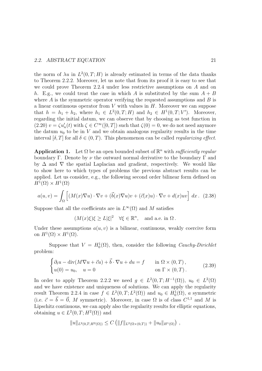the norm of  $\lambda u$  in  $L^2(0,T;H)$  is already estimated in terms of the data thanks to Theorem 2.2.2. Moreover, let us note that from its proof it is easy to see that we could prove Theorem 2.2.4 under less restrictive assumptions on A and on h. E.g., we could treat the case in which A is substituted by the sum  $A + B$ where  $\vec{A}$  is the symmetric operator verifying the requested assumptions and  $\vec{B}$  is a linear continuous operator from  $V$  with values in  $H$ . Moreover we can suppose that  $h = h_1 + h_2$ , where  $h_1 \in L^2(0,T;H)$  and  $h_2 \in H^1(0,T;V')$ . Moreover, regarding the initial datum, we can observe that by choosing as test function in  $(2.20)$   $v = \zeta u'_n(t)$  with  $\zeta \in C^\infty([0,T])$  such that  $\zeta(0) = 0$ , we do not need anymore the datum  $u_0$  to be in V and we obtain analogous regularity results in the time interval  $[\delta, T]$  for all  $\delta \in (0, T)$ . This phenomenon can be called *regularizing effect*.

**Application 1.** Let  $\Omega$  be an open bounded subset of  $\mathbb{R}^n$  with sufficiently regular boundary Γ. Denote by  $\nu$  the outward normal derivative to the boundary Γ and by  $\Delta$  and  $\nabla$  the spatial Laplacian and gradient, respectively. We would like to show here to which types of problems the previous abstract results can be applied. Let us consider, e.g., the following second order bilinear form defined on  $H^1(\Omega) \times H^1(\Omega)$ 

$$
a(u,v) = \int_{\Omega} \left[ (M(x)\nabla u) \cdot \nabla v + (\vec{b}(x)\nabla u)v + (\vec{c}(x)u) \cdot \nabla v + d(x)uv \right] dx. \tag{2.38}
$$

Suppose that all the coefficients are in  $L^{\infty}(\Omega)$  and M satisfies

 $(M(x)\xi)\xi \geq L|\xi|^2 \quad \forall \xi \in \mathbb{R}^n$ , and a.e. in  $\Omega$ .

Under these assumptions  $a(u, v)$  is a bilinear, continuous, weakly coercive form on  $H^1(\Omega) \times H^1(\Omega)$ .

Suppose that  $V = H_0^1(\Omega)$ , then, consider the following *Cauchy-Dirichlet* problem:

$$
\begin{cases} \partial_t u - \operatorname{div}(M\nabla u + \vec{c}u) + \vec{b} \cdot \nabla u + du = f & \text{in } \Omega \times (0, T), \\ u(0) = u_0, \quad u = 0 & \text{on } \Gamma \times (0, T). \end{cases}
$$
 (2.39)

In order to apply Theorem 2.2.2 we need  $g \in L^2(0,T;H^{-1}(\Omega))$ ,  $u_0 \in L^2(\Omega)$ and we have existence and uniqueness of solutions. We can apply the regularity result Theorem 2.2.4 in case  $f \in L^2(0,T; L^2(\Omega))$  and  $u_0 \in H_0^1(\Omega)$ , a symmetric (i.e.  $\vec{c} = \vec{b} = \vec{0}$ , M symmetric). Moreover, in case  $\Omega$  is of class  $C^{1,1}$  and M is Lipschitz continuous, we can apply also the regularity results for elliptic equations, obtaining  $u \in L^2(0,T;H^2(\Omega))$  and

$$
||u||_{L^2(0,T;H^2(\Omega))} \leq C (||f||_{L^2(\Omega \times (0,T))} + ||u_0||_{H^1(\Omega)}),
$$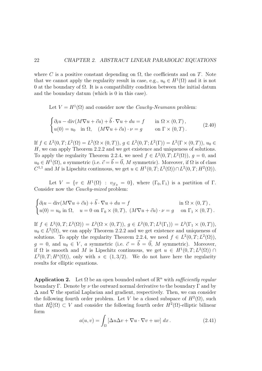where C is a positive constant depending on  $\Omega$ , the coefficients and on T. Note that we cannot apply the regularity result in case, e.g.,  $u_0 \in H^1(\Omega)$  and it is not 0 at the boundary of  $\Omega$ . It is a compatibility condition between the initial datum and the boundary datum (which is 0 in this case).

Let  $V = H^1(\Omega)$  and consider now the *Cauchy-Neumann* problem:

$$
\begin{cases} \partial_t u - \operatorname{div}(M\nabla u + \vec{c}u) + \vec{b} \cdot \nabla u + du = f & \text{in } \Omega \times (0, T), \\ u(0) = u_0 & \text{in } \Omega, \quad (M\nabla u + \vec{c}u) \cdot \nu = g & \text{on } \Gamma \times (0, T). \end{cases} (2.40)
$$

If  $f \in L^2(0,T; L^2(\Omega) = L^2(\Omega \times (0,T)), g \in L^2(0,T; L^2(\Gamma)) = L^2(\Gamma \times (0,T)), u_0 \in$ H, we can apply Theorem 2.2.2 and we get existence and uniqueness of solutions. To apply the regularity Theorem 2.2.4, we need  $f \in L^2(0,T; L^2(\Omega))$ ,  $g = 0$ , and  $u_0 \in H^1(\Omega)$ , a symmetric (i.e.  $\vec{c} = \vec{b} = \vec{0}$ , M symmetric). Moreover, if  $\Omega$  is of class  $C^{1,1}$  and M is Lipschitz continuous, we get  $u \in H^1(0,T; L^2(\Omega)) \cap L^2(0,T; H^2(\Omega)).$ 

Let  $V = \{v \in H^1(\Omega) : v_{|\Gamma_0} = 0\}$ , where  $(\Gamma_0, \Gamma_1)$  is a partition of  $\Gamma$ . Consider now the Cauchy-mixed problem:

$$
\begin{cases} \partial_t u - \operatorname{div}(M\nabla u + \vec{c}u) + \vec{b} \cdot \nabla u + du = f & \text{in } \Omega \times (0, T), \\ u(0) = u_0 \text{ in } \Omega, \quad u = 0 \text{ on } \Gamma_0 \times (0, T), \ (M\nabla u + \vec{c}u) \cdot \nu = g & \text{on } \Gamma_1 \times (0, T). \end{cases}
$$

If  $f \in L^2(0,T;L^2(\Omega)) = L^2(\Omega \times (0,T)), g \in L^2(0,T;L^2(\Gamma_1)) = L^2(\Gamma_1 \times (0,T)),$  $u_0 \in L^2(\Omega)$ , we can apply Theorem 2.2.2 and we get existence and uniqueness of solutions. To apply the regularity Theorem 2.2.4, we need  $f \in L^2(0,T; L^2(\Omega)),$  $g = 0$ , and  $u_0 \in V$ , a symmetric (i.e.  $\vec{c} = \vec{b} = \vec{0}$ , M symmetric). Moreover, if  $\Omega$  is smooth and M is Lipschitz continuous, we get  $u \in H^1(0,T; L^2(\Omega))$  $L^2(0,T;H^s(\Omega))$ , only with  $s \in (1,3/2)$ . We do not have here the regularity results for elliptic equations.

**Application 2.** Let  $\Omega$  be an open bounded subset of  $\mathbb{R}^n$  with sufficiently regular boundary Γ. Denote by  $\nu$  the outward normal derivative to the boundary Γ and by  $\Delta$  and  $\nabla$  the spatial Laplacian and gradient, respectively. Then, we can consider the following fourth order problem. Let V be a closed subspace of  $H^2(\Omega)$ , such that  $H_0^2(\Omega) \subset V$  and consider the following fourth order  $H^2(\Omega)$ -elliptic bilinear form

$$
a(u,v) = \int_{\Omega} \left[ \Delta u \Delta v + \nabla u \cdot \nabla v + uv \right] dx.
$$
 (2.41)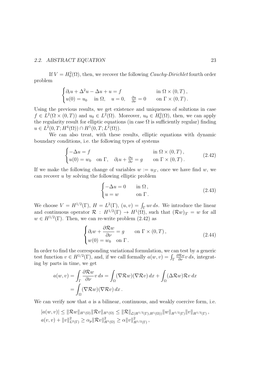#### 2.2. ABSTRACT EQUATION 23

If  $V = H_0^2(\Omega)$ , then, we recover the following *Cauchy-Dirichlet* fourth order problem

$$
\begin{cases} \partial_t u + \Delta^2 u - \Delta u + u = f & \text{in } \Omega \times (0, T), \\ u(0) = u_0 & \text{in } \Omega, \quad u = 0, \quad \frac{\partial u}{\partial \nu} = 0 & \text{on } \Gamma \times (0, T). \end{cases}
$$

Using the previous results, we get existence and uniqueness of solutions in case  $f \in L^2(\Omega \times (0,T))$  and  $u_0 \in L^2(\Omega)$ . Moreover,  $u_0 \in H_0^2(\Omega)$ , then, we can apply the regularity result for elliptic equations (in case  $\Omega$  is sufficiently regular) finding  $u \in L^2(0,T;H^4(\Omega)) \cap H^1(0,T;L^2(\Omega)).$ 

We can also treat, with these results, elliptic equations with dynamic boundary conditions, i.e. the following types of systems

$$
\begin{cases}\n-\Delta u = f & \text{in } \Omega \times (0, T), \\
u(0) = w_0 & \text{on } \Gamma, \quad \partial_t u + \frac{\partial u}{\partial \nu} = g & \text{on } \Gamma \times (0, T).\n\end{cases}
$$
\n(2.42)

If we make the following change of variables  $w := u_{\text{IF}}$ , once we have find w, we can recover u by solving the following elliptic problem

$$
\begin{cases}\n-\Delta u = 0 & \text{in } \Omega, \\
u = w & \text{on } \Gamma.\n\end{cases}
$$
\n(2.43)

We choose  $V = H^{1/2}(\Gamma)$ ,  $H = L^2(\Gamma)$ ,  $(u, v) = \int_{\Gamma} uv ds$ . We introduce the linear and continuous operator  $\mathcal{R}$  :  $H^{1/2}(\Gamma) \to H^1(\Omega)$ , such that  $(\mathcal{R}w)_{|\Gamma} = w$  for all  $w \in H^{1/2}(\Gamma)$ . Then, we can re-write problem (2.42) as

$$
\begin{cases}\n\partial_t w + \frac{\partial \mathcal{R}w}{\partial \nu} = g & \text{on } \Gamma \times (0, T), \\
w(0) = w_0 & \text{on } \Gamma.\n\end{cases}
$$
\n(2.44)

In order to find the corresponding variational formulation, we can test by a generic test function  $v \in H^{1/2}(\Gamma)$ , and, if we call formally  $a(w, v) = \int_{\Gamma}$  $\frac{\partial \mathcal{R}w}{\partial \nu}v ds$ , integrating by parts in time, we get

$$
a(w, v) = \int_{\Gamma} \frac{\partial \mathcal{R}w}{\partial \nu} v ds = \int_{\Omega} (\nabla \mathcal{R}w)(\nabla \mathcal{R}v) dx + \int_{\Omega} (\Delta \mathcal{R}w) \mathcal{R}v dx
$$
  
= 
$$
\int_{\Omega} (\nabla \mathcal{R}w)(\nabla \mathcal{R}v) dx.
$$

We can verify now that  $a$  is a bilinear, continuous, and weakly coercive form, i.e.

$$
|a(w,v)| \leq ||\mathcal{R}w||_{H^1(\Omega)} ||\mathcal{R}v||_{H^1(\Omega)} \leq ||\mathcal{R}||_{\mathcal{L}(H^{1/2}(\Gamma);H^1(\Omega))} ||w||_{H^{1/2}(\Gamma)} ||v||_{H^{1/2}(\Gamma)},
$$
  

$$
a(v,v) + ||v||_{L^2(\Gamma)}^2 \geq \alpha_p ||\mathcal{R}v||_{H^1(\Omega)}^2 \geq \alpha ||v||_{H^{1/2}(\Gamma)}^2,
$$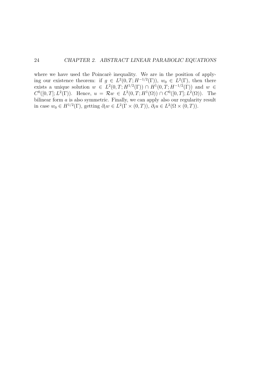where we have used the Poincaré inequality. We are in the position of applying our existence theorem: if  $g \in L^2(0,T;H^{-1/2}(\Gamma))$ ,  $w_0 \in L^2(\Gamma)$ , then there exists a unique solution  $w \in L^2(0,T;H^{1/2}(\Gamma)) \cap H^1(0,T;H^{-1/2}(\Gamma))$  and  $w \in$  $C^0([0,T]; L^2(\Gamma))$ . Hence,  $u = \mathcal{R}w \in L^2(0,T; H^1(\Omega)) \cap C^0([0,T]; L^2(\Omega))$ . The bilinear form *a* is also symmetric. Finally, we can apply also our regularity result in case  $w_0 \in H^{1/2}(\Gamma)$ , getting  $\partial_t w \in L^2(\Gamma \times (0,T))$ ,  $\partial_t u \in L^2(\Omega \times (0,T))$ .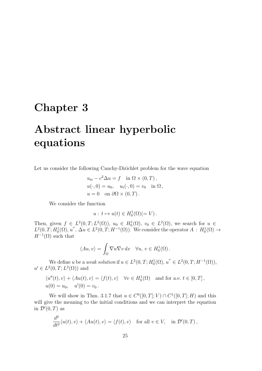## Chapter 3

# Abstract linear hyperbolic equations

Let us consider the following Cauchy-Dirichlet problem for the wave equation

$$
u_{tt} - c^2 \Delta u = f \quad \text{in } \Omega \times (0, T),
$$
  
\n
$$
u(\cdot, 0) = u_0, \quad u_t(\cdot, 0) = v_0 \quad \text{in } \Omega,
$$
  
\n
$$
u = 0 \quad \text{on } \partial\Omega \times (0, T).
$$

We consider the function

$$
u: t \mapsto u(t) \in H_0^1(\Omega)(=V).
$$

Then, given  $f \in L^2(0,T; L^2(\Omega))$ ,  $u_0 \in H_0^1(\Omega)$ ,  $v_0 \in L^2(\Omega)$ , we search for  $u \in$  $L^2(0,T;H_0^1(\Omega),u'',\,\Delta u\in L^2(0,T;H^{-1}(\Omega))$ . We consider the operator  $A: H_0^1(\Omega) \to$  $H^{-1}(\Omega)$  such that

$$
\langle Au, v \rangle = \int_{\Omega} \nabla u \nabla v \, dx \quad \forall u, v \in H_0^1(\Omega).
$$

We define u be a weak solution if  $u \in L^2(0,T; H_0^1(\Omega), u'' \in L^2(0,T; H^{-1}(\Omega)),$  $u' \in L^2(0,T;L^2(\Omega))$  and

$$
\langle u''(t), v \rangle + \langle Au(t), v \rangle = \langle f(t), v \rangle \quad \forall v \in H_0^1(\Omega) \text{ and for a.e. } t \in [0, T],
$$
  

$$
u(0) = u_0, \quad u'(0) = v_0.
$$

We will show in Thm. 3.1.7 that  $u \in C<sup>0</sup>(0,T]; V) \cap C<sup>1</sup>(0,T]; H)$  and this will give the meaning to the initial conditions and we can interpret the equation in  $\mathcal{D}'(0,T)$  as

$$
\frac{d^2}{dt^2} \langle u(t), v \rangle + \langle Au(t), v \rangle = \langle f(t), v \rangle \quad \text{for all } v \in V, \quad \text{in } \mathcal{D}'(0, T) ,
$$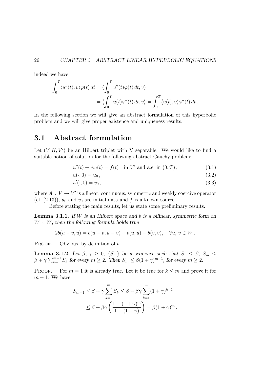indeed we have

$$
\int_0^T \langle u''(t), v \rangle \varphi(t) dt = \langle \int_0^T u''(t) \varphi(t) dt, v \rangle
$$
  
=  $\langle \int_0^T u(t) \varphi''(t) dt, v \rangle = \int_0^T \langle u(t), v \rangle \varphi''(t) dt.$ 

In the following section we will give an abstract formulation of this hyperbolic problem and we will give proper existence and uniqueness results.

## 3.1 Abstract formulation

Let  $(V, H, V')$  be an Hilbert triplet with V separable. We would like to find a suitable notion of solution for the following abstract Cauchy problem:

$$
u''(t) + Au(t) = f(t) \text{ in } V' \text{ and a.e. in } (0, T), \tag{3.1}
$$

$$
u(\cdot,0) = u_0,\tag{3.2}
$$

$$
u'(\cdot,0) = v_0,\tag{3.3}
$$

where  $A: V \to V'$  is a linear, continuous, symmetric and weakly coercive operator (cf.  $(2.13)$ ),  $u_0$  and  $v_0$  are initial data and f is a known source.

Before stating the main results, let us state some preliminary results.

**Lemma 3.1.1.** If W is an Hilbert space and b is a bilinear, symmetric form on  $W \times W$ , then the following formula holds true

$$
2b(u - v, u) = b(u - v, u - v) + b(u, u) - b(v, v), \quad \forall u, v \in W.
$$

PROOF. Obvious, by definition of b.

**Lemma 3.1.2.** Let  $\beta$ ,  $\gamma \geq 0$ ,  $\{S_m\}$  be a sequence such that  $S_1 \leq \beta$ ,  $S_m \leq$  $\beta + \gamma \sum_{k=1}^{m-1} S_k$  for every  $m \ge 2$ . Then  $S_m \le \beta (1+\gamma)^{m-1}$ , for every  $m \ge 2$ .

**PROOF.** For  $m = 1$  it is already true. Let it be true for  $k \leq m$  and prove it for  $m + 1$ . We have

$$
S_{m+1} \leq \beta + \gamma \sum_{k=1}^{m} S_k \leq \beta + \beta \gamma \sum_{k=1}^{m} (1+\gamma)^{k-1}
$$
  
 
$$
\leq \beta + \beta \gamma \left( \frac{1 - (1+\gamma)^m}{1 - (1+\gamma)} \right) = \beta (1+\gamma)^m.
$$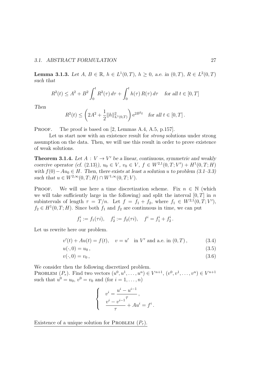**Lemma 3.1.3.** Let  $A, B \in \mathbb{R}, h \in L^1(0,T), h \ge 0$ , a.e. in  $(0,T), R \in L^2(0,T)$ such that

$$
R^{2}(t) \le A^{2} + B^{2} \int_{0}^{t} R^{2}(\tau) d\tau + \int_{0}^{t} h(\tau) R(\tau) d\tau \quad \text{for all } t \in [0, T]
$$

Then

$$
R^{2}(t) \leq \left(2A^{2} + \frac{1}{2}||h||_{L^{1}(0,T)}^{2}\right)e^{2B^{2}t} \text{ for all } t \in [0,T].
$$

PROOF. The proof is based on [2, Lemmas A.4, A.5, p.157].

Let us start now with an existence result for *strong* solutions under strong assumption on the data. Then, we will use this result in order to prove existence of weak solutions.

**Theorem 3.1.4.** Let  $A: V \to V'$  be a linear, continuous, symmetric and weakly coercive operator (cf. (2.13)),  $u_0 \in V$ ,  $v_0 \in V$ ,  $f \in W^{2,1}(0,T;V') + H^1(0,T;H)$ with  $f(0)-Au_0 \in H$ . Then, there exists at least a solution u to problem (3.1–3.3) such that  $u \in W^{2,\infty}(0,T;H) \cap W^{1,\infty}(0,T;V)$ .

**PROOF.** We will use here a time discretization scheme. Fix  $n \in \mathbb{N}$  (which we will take sufficiently large in the following) and split the interval  $[0, T]$  in n subintervals of length  $\tau = T/n$ . Let  $f = f_1 + f_2$ , where  $f_1 \in W^{2,1}(0,T;V')$ ,  $f_2 \in H^1(0,T;H)$ . Since both  $f_1$  and  $f_2$  are continuous in time, we can put

$$
f_1^i := f_1(\tau i), \quad f_2^i := f_2(\tau i), \quad f^i = f_1^i + f_2^i.
$$

Let us rewrite here our problem.

$$
v'(t) + Au(t) = f(t), \quad v = u' \text{ in } V' \text{ and a.e. in } (0, T), \tag{3.4}
$$

$$
u(\cdot,0) = u_0,\tag{3.5}
$$

$$
v(\cdot,0) = v_0,\tag{3.6}
$$

We consider then the following discretized problem. PROBLEM  $(P_{\tau})$ . Find two vectors  $(u^{0}, u^{1}, \ldots, u^{n}) \in V^{n+1}$ ,  $(v^{0}, v^{1}, \ldots, v^{n}) \in V^{n+1}$ such that  $u^0 = u_0, v^0 = v_0$  and  $(\text{for } i = 1, ..., n)$ 

$$
\begin{cases}\n v^i = \frac{u^i - u^{i-1}}{\tau}, \\
 \frac{v^i - v^{i-1}}{\tau} + Au^i = f^i.\n\end{cases}
$$

Existence of a unique solution for PROBLEM  $(P_\tau)$ .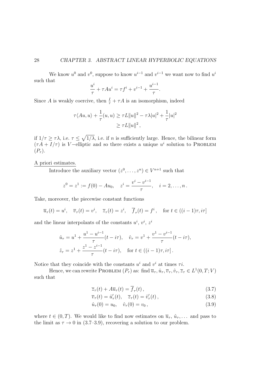We know  $u^0$  and  $v^0$ , suppose to know  $u^{i-1}$  and  $v^{i-1}$  we want now to find  $u^i$ such that

$$
\frac{u^i}{\tau} + \tau A u^i = \tau f^i + v^{i-1} + \frac{u^{i-1}}{\tau}.
$$

Since A is weakly coercive, then  $\frac{I}{\tau} + \tau A$  is an isomorphism, indeed

$$
\tau \langle Au, u \rangle + \frac{1}{\tau} (u, u) \ge \tau L ||u||^2 - \tau \lambda |u|^2 + \frac{1}{\tau} |u|^2
$$
  

$$
\ge \tau L ||u||^2,
$$

if  $1/\tau \geq \tau \lambda$ , i.e.  $\tau \leq \sqrt{1/\lambda}$ , i.e. if n is sufficiently large. Hence, the bilinear form  $(\tau A + I/\tau)$  is V-elliptic and so there exists a unique  $u^i$  solution to PROBLEM  $(P_\tau)$ .

#### A priori estimates.

Introduce the auxiliary vector  $(z^0, \ldots, z^n) \in V^{n+1}$  such that

$$
z^0 = z^1 := f(0) - Au_0
$$
,  $z^i = \frac{v^i - v^{i-1}}{\tau}$ ,  $i = 2, ..., n$ .

Take, moreover, the piecewise constant functions

$$
\overline{u}_{\tau}(t) = u^i
$$
,  $\overline{v}_{\tau}(t) = v^i$ ,  $\overline{z}_{\tau}(t) = z^i$ ,  $\overline{f}_{\tau}(t) = f^i$ , for  $t \in ((i-1)\tau, i\tau]$ 

and the linear interpolants of the constants  $u^i, v^i, z^i$ 

$$
\hat{u}_{\tau} = u^{1} + \frac{u^{1} - u^{i-1}}{\tau} (t - i\tau), \quad \hat{v}_{\tau} = v^{1} + \frac{v^{1} - v^{i-1}}{\tau} (t - i\tau),
$$
  

$$
\hat{z}_{\tau} = z^{1} + \frac{z^{1} - z^{i-1}}{\tau} (t - i\tau), \quad \text{for } t \in ((i - 1)\tau, i\tau].
$$

Notice that they coincide with the constants  $u^i$  and  $v^i$  at times  $\tau i$ .

Hence, we can rewrite PROBLEM  $(P_\tau)$  as: find  $\overline{u}_\tau, \hat{u}_\tau, \overline{v}_\tau, \hat{v}_\tau, \overline{z}_\tau \in L^1(0, T; V)$ such that

$$
\overline{z}_{\tau}(t) + A\overline{u}_{\tau}(t) = f_{\tau}(t), \qquad (3.7)
$$

$$
\overline{v}_{\tau}(t) = \hat{u}'_{\tau}(t), \quad \overline{z}_{\tau}(t) = \hat{v}'_{\tau}(t), \tag{3.8}
$$

$$
\hat{u}_{\tau}(0) = u_0, \quad \hat{v}_{\tau}(0) = v_0, \tag{3.9}
$$

where  $t \in (0, T)$ . We would like to find now estimates on  $\overline{u}_{\tau}$ ,  $\hat{u}_{\tau}$ ,... and pass to the limit as  $\tau \to 0$  in (3.7–3.9), recovering a solution to our problem.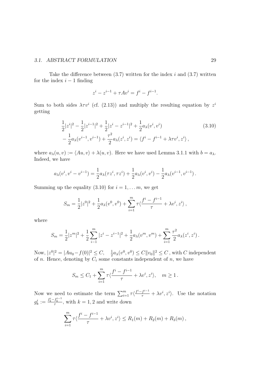### 3.1. ABSTRACT FORMULATION 29

Take the difference between  $(3.7)$  written for the index i and  $(3.7)$  written for the index  $i - 1$  finding

$$
z^{i} - z^{i-1} + \tau Av^{i} = f^{i} - f^{i-1}.
$$

Sum to both sides  $\lambda \tau v^i$  (cf. (2.13)) and multiply the resulting equation by  $z^i$ getting

$$
\frac{1}{2}|z^{i}|^{2} - \frac{1}{2}|z^{i-1}|^{2} + \frac{1}{2}|z^{i} - z^{i-1}|^{2} + \frac{1}{2}a_{\lambda}(v^{i}, v^{i})
$$
\n
$$
-\frac{1}{2}a_{\lambda}(v^{i-1}, v^{i-1}) + \frac{\tau^{2}}{2}a_{\lambda}(z^{i}, z^{i}) = \langle f^{i} - f^{i-1} + \lambda\tau v^{i}, z^{i} \rangle,
$$
\n(3.10)

where  $a_{\lambda}(u, v) := \langle Au, v \rangle + \lambda(u, v)$ . Here we have used Lemma 3.1.1 with  $b = a_{\lambda}$ . Indeed, we have

$$
a_{\lambda}(v^{i},v^{i}-v^{i-1})=\frac{1}{2}a_{\lambda}(\tau z^{i},\tau z^{i})+\frac{1}{2}a_{\lambda}(v^{i},v^{i})-\frac{1}{2}a_{\lambda}(v^{i-1},v^{i-1}).
$$

Summing up the equality (3.10) for  $i = 1, \ldots, m$ , we get

$$
S_m = \frac{1}{2} |z^0|^2 + \frac{1}{2} a_\lambda(v^0, v^0) + \sum_{i=1}^m \tau \langle \frac{f^i - f^{i-1}}{\tau} + \lambda v^i, z^i \rangle,
$$

where

$$
S_m = \frac{1}{2} |z^m|^2 + \frac{1}{2} \sum_{i=1}^m |z^i - z^{i-1}|^2 + \frac{1}{2} a_\lambda(v^m, v^m) + \sum_{i=1}^m \frac{\tau^2}{2} a_\lambda(z^i, z^i).
$$

Now,  $|z^0|^2 = |Au_0 - f(0)|^2 \leq C$ ,  $\frac{1}{2} a_\lambda(v^0, v^0) \leq C ||v_0||^2 \leq C$ , with C independent of n. Hence, denoting by  $C_i$  some constants independent of n, we have

$$
S_m \leq C_1 + \sum_{i=1}^m \tau \langle \frac{f^i - f^{i-1}}{\tau} + \lambda v^i, z^i \rangle, \quad m \geq 1.
$$

Now we need to estimate the term  $\sum_{i=1}^m \tau \langle \frac{f^i - f^{i-1}}{\tau} + \lambda v^i, z^i \rangle$ . Use the notation  $g_k^i := \frac{f_k^i - f_k^{i-1}}{\tau}$ , with  $k = 1, 2$  and write down

$$
\sum_{i=1}^{m} \tau \langle \frac{f^{i} - f^{i-1}}{\tau} + \lambda v^{i}, z^{i} \rangle \le R_{1}(m) + R_{2}(m) + R_{3}(m),
$$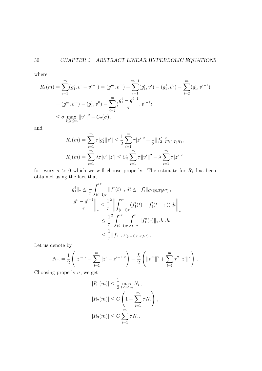where

$$
R_1(m) = \sum_{i=1}^m (g_1^i, v^i - v^{i-1}) = (g^m, v^m) + \sum_{i=1}^{m-1} (g_1^i, v^i) - (g_1^1, v^0) - \sum_{i=2}^m (g_1^i, v^{i-1})
$$
  
=  $(g^m, v^m) - (g_1^1, v^0) - \sum_{i=2}^m \langle \frac{g_1^i - g_1^{i-1}}{\tau}, v^{i-1} \rangle$   
 $\leq \sigma \max_{1 \leq i \leq m} ||v^i||^2 + C_2(\sigma),$ 

and

$$
R_2(m) = \sum_{i=1}^m \tau |g_2^i||z^i| \le \frac{1}{2} \sum_{i=1}^m \tau |z^i|^2 + \frac{1}{2} ||f_2'||_{L^2(0,T;H)}^2,
$$
  

$$
R_3(m) = \sum_{i=1}^m \lambda \tau |v^i||z^i| \le C_3 \sum_{i=1}^m \tau ||v^i||^2 + \lambda \sum_{i=1}^m \tau |z^i|^2
$$

for every  $\sigma > 0$  which we will choose properly. The estimate for  $R_1$  has been obtained using the fact that

$$
||g_1^i||_* \leq \frac{1}{\tau} \int_{(i-1)\tau}^{i\tau} ||f_1'(t)||_* dt \leq ||f_1'||_{C^0([0,T];V')},
$$
  

$$
\left\|\frac{g_1^i - g_1^{i-1}}{\tau}\right\|_* \leq \frac{1}{\tau} \left\|\int_{(i-1)\tau}^{i\tau} (f_1'(t) - f_1'(t-\tau)) dt \right\|_*
$$
  

$$
\leq \frac{1}{\tau} \int_{(i-1)\tau}^{i\tau} \int_{t-\tau}^t ||f_1''(s)||_* ds dt
$$
  

$$
\leq \frac{1}{\tau} ||f_1||_{L^1((i-1)\tau, i\tau; V')}.
$$

Let us denote by

$$
N_m = \frac{1}{2}\left(|z^m|^2 + \sum_{i=1}^m |z^i - z^{i-1}|^2\right) + \frac{L}{2}\left(\|v^m\|^2 + \sum_{i=1}^m \tau^2 \|z^i\|^2\right)\,.
$$

Choosing properly  $\sigma$ , we get

$$
|R_1(m)| \le \frac{1}{2} \max_{1 \le i \le m} N_i,
$$
  
\n
$$
|R_2(m)| \le C \left(1 + \sum_{i=1}^m \tau N_i\right),
$$
  
\n
$$
|R_3(m)| \le C \sum_{i=1}^m \tau N_i.
$$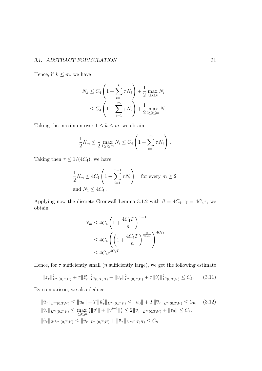#### 3.1. ABSTRACT FORMULATION 31

Hence, if  $k \leq m$ , we have

$$
N_k \le C_4 \left( 1 + \sum_{i=1}^k \tau N_i \right) + \frac{1}{2} \max_{1 \le i \le k} N_i
$$
  
 
$$
\le C_4 \left( 1 + \sum_{i=1}^m \tau N_i \right) + \frac{1}{2} \max_{1 \le i \le m} N_i.
$$

Taking the maximum over  $1 \leq k \leq m$ , we obtain

$$
\frac{1}{2}N_m \le \frac{1}{2} \max_{1 \le i \le m} N_i \le C_4 \left( 1 + \sum_{i=1}^m \tau N_i \right) .
$$

Taking then  $\tau \leq 1/(4C_4)$ , we have

$$
\frac{1}{2}N_m \le 4C_4 \left(1 + \sum_{i=1}^{m-1} \tau N_i\right) \quad \text{for every } m \ge 2
$$
  
and  $N_1 \le 4C_4$ .

Applying now the discrete Gronwall Lemma 3.1.2 with  $\beta = 4C_4$ ,  $\gamma = 4C_4\tau$ , we obtain

$$
N_m \le 4C_4 \left( 1 + \frac{4C_4 T}{n} \right)^{m-1}
$$
  
 
$$
\le 4C_4 \left( \left( 1 + \frac{4C_4 T}{n} \right)^{\frac{n}{4C_4 T}} \right)^{4C_4 T}
$$
  
 
$$
\le 4C_4 e^{4C_4 T}.
$$

Hence, for  $\tau$  sufficiently small (*n* sufficiently large), we get the following estimate

$$
\|\overline{z}_{\tau}\|_{L^{\infty}(0,T;H)}^2 + \tau \|\hat{z}_{\tau}^{\prime}\|_{L^2(0,T;H)}^2 + \|\overline{v}_{\tau}\|_{L^{\infty}(0,T;V)}^2 + \tau \|\hat{v}_{\tau}^{\prime}\|_{L^2(0,T;V)}^2 \le C_5. \tag{3.11}
$$

By comparison, we also deduce

$$
\|\hat{u}_{\tau}\|_{L^{\infty}(0,T;V)} \le \|u_{0}\| + T\|\hat{u}_{\tau}'\|_{L^{\infty}(0,T;V)} \le \|u_{0}\| + T\|\overline{v}_{\tau}\|_{L^{\infty}(0,T;V)} \le C_{6}, \quad (3.12)
$$
  

$$
\|\hat{v}_{\tau}\|_{L^{\infty}(0,T;V)} \le \max_{1 \le i \le n} (||v^{i}|| + ||v^{i-1}||) \le 2\|\overline{v}_{\tau}\|_{L^{\infty}(0,T;V)} + \|v_{0}\| \le C_{7},
$$
  

$$
\|\hat{v}_{\tau}\|_{W^{1,\infty}(0,T;H)} \le \|\hat{v}_{\tau}\|_{L^{\infty}(0,T;H)} + \|\overline{z}_{\tau}\|_{L^{\infty}(0,T;H)} \le C_{8}.
$$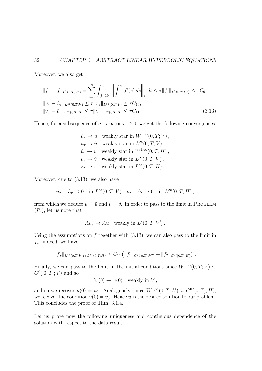Moreover, we also get

$$
\|\overline{f}_{\tau} - f\|_{L^{1}(0,T;V')} = \sum_{i=1}^{n} \int_{(i-1)\tau}^{i\tau} \left\| \int_{t}^{i\tau} f'(s) \, ds \right\|_{*} dt \leq \tau \|f'\|_{L^{1}(0,T;V')} \leq \tau C_{9},
$$
  

$$
\|\overline{u}_{\tau} - \hat{u}_{\tau}\|_{L^{\infty}(0,T;V)} \leq \tau \|\overline{v}_{\tau}\|_{L^{\infty}(0,T;V)} \leq \tau C_{10},
$$
  

$$
\|\overline{v}_{\tau} - \hat{v}_{\tau}\|_{L^{\infty}(0,T;H)} \leq \tau \|\overline{z}_{\tau}\|_{L^{\infty}(0,T;H)} \leq \tau C_{11}.
$$
 (3.13)

Hence, for a subsequence of  $n \to \infty$  or  $\tau \to 0$ , we get the following convergences

 $\hat{u}_{\tau} \to u$  weakly star in  $W^{1,\infty}(0,T;V)$ ,  $\overline{u}_{\tau} \to \tilde{u}$  weakly star in  $L^{\infty}(0,T;V)$ ,  $\hat{v}_{\tau} \to v$  weakly star in  $W^{1,\infty}(0,T;H)$ ,  $\overline{v}_{\tau} \to \tilde{v}$  weakly star in  $L^{\infty}(0,T;V)$ ,  $\overline{z}_{\tau} \to z$  weakly star in  $L^{\infty}(0,T;H)$ .

Moreover, due to (3.13), we also have

$$
\overline{u}_{\tau} - \hat{u}_{\tau} \to 0
$$
 in  $L^{\infty}(0, T; V)$   $\overline{v}_{\tau} - \hat{v}_{\tau} \to 0$  in  $L^{\infty}(0, T; H)$ ,

from which we deduce  $u = \tilde{u}$  and  $v = \tilde{v}$ . In order to pass to the limit in PROBLEM  $(P_{\tau})$ , let us note that

$$
A\overline{u}_{\tau} \to Au
$$
 weakly in  $L^2(0, T; V')$ .

Using the assumptions on  $f$  together with  $(3.13)$ , we can also pass to the limit in  $f_{\tau}$ ; indeed, we have

$$
\|\overline{f}_{\tau}\|_{L^{\infty}(0,T;V')+L^{\infty}(0,T;H)} \leq C_{12} \left( \|f_1\|_{C^{0}([0,T];V')} + \|f_2\|_{C^{0}([0,T];H)} \right).
$$

Finally, we can pass to the limit in the initial conditions since  $W^{1,\infty}(0,T; V) \subseteq$  $C^0([0,T];V)$  and so

$$
\hat{u}_{\tau}(0) \to u(0)
$$
 weakly in V,

and so we recover  $u(0) = u_0$ . Analogously, since  $W^{1,\infty}(0,T;H) \subseteq C^0([0,T];H)$ , we recover the condition  $v(0) = v_0$ . Hence u is the desired solution to our problem. This concludes the proof of Thm. 3.1.4.

Let us prove now the following uniqueness and continuous dependence of the solution with respect to the data result.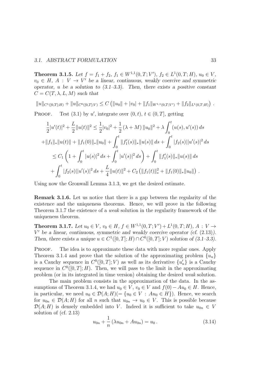#### 3.1. ABSTRACT FORMULATION 33

**Theorem 3.1.5.** Let  $f = f_1 + f_2$ ,  $f_1 \in W^{1,1}(0,T;V')$ ,  $f_2 \in L^1(0,T;H)$ ,  $u_0 \in V$ ,  $v_0 \in H$ ,  $A: V \to V'$  be a linear, continuous, weakly coercive and symmetric operator, u be a solution to  $(3.1-3.3)$ . Then, there exists a positive constant  $C = C(T, \lambda, L, M)$  such that

 $||u||_{C^{1}([0,T];H)} + ||u||_{C^{0}([0,T];V)} \leq C (||u_0|| + |v_0| + ||f_1||_{W^{1,1}(0,T;V')} + ||f_2||_{L^{1}(0,T;H)})$ .

PROOF. Test (3.1) by u', integrate over  $(0, t)$ ,  $t \in (0, T]$ , getting

$$
\frac{1}{2}|u'(t)|^2 + \frac{L}{2}||u(t)||^2 \le \frac{1}{2}|v_0|^2 + \frac{1}{2}(\lambda + M)||u_0||^2 + \lambda \int_0^t (u(s), u'(s)) ds
$$
  
+  $||f_1||_*||u(t)|| + ||f_1(0)||_*||u_0|| + \int_0^t ||f_1'(s)||_*||u(s)|| ds + \int_0^t |f_2(s)||u'(s)|^2 ds$   
 $\le C_1 \left(1 + \int_0^t |u(s)|^2 ds + \int_0^t |u'(s)|^2 ds\right) + \int_0^t ||f_1'(s)||_*||u(s)|| ds$   
+  $\int_0^t |f_2(s)||u'(s)|^2 ds + \frac{L}{4}||u(t)||^2 + C_2 (||f_1(t)||_*^2 + ||f_1(0)||_*||u_0||).$ 

Using now the Gronwall Lemma 3.1.3, we get the desired estimate.

Remark 3.1.6. Let us notice that there is a gap between the regularity of the existence and the uniqueness theorems. Hence, we will prove in the following Theorem 3.1.7 the existence of a *weak* solution in the regularity framework of the uniqueness theorem.

**Theorem 3.1.7.** Let  $u_0 \in V$ ,  $v_0 \in H$ ,  $f \in W^{1,1}(0,T;V') + L^1(0,T;H)$ ,  $A: V \to$  $V'$  be a linear, continuous, symmetric and weakly coercive operator (cf.  $(2.13)$ ). Then, there exists a unique  $u \in C^1([0,T];H) \cap C^0([0,T];V)$  solution of  $(3.1-3.3)$ .

PROOF. The idea is to approximate these data with more regular ones. Apply Theorem 3.1.4 and prove that the solution of the approximating problem  ${u_n}$ is a Cauchy sequence in  $C^0([0,T];V)$  as well as its derivative  $\{u'_n\}$  is a Cauchy sequence in  $C^0([0,T];H)$ . Then, we will pass to the limit in the approximating problem (or in its integrated in time version) obtaining the desired weak solution.

The main problem consists in the approximation of the data. In the assumptions of Theorem 3.1.4, we had  $u_0 \in V$ ,  $v_0 \in V$  and  $f(0) - Au_0 \in H$ . Hence, in particular, we need  $u_0 \in \mathcal{D}(A; H) (= \{u_0 \in V : Au_0 \in H\})$ . Hence, we search for  $u_{0n} \in \mathcal{D}(A;H)$  for all n such that  $u_{0n} \to u_0 \in V$ . This is possible because  $\mathcal{D}(A; H)$  is densely embedded into V. Indeed it is sufficient to take  $u_{0n} \in V$ solution of (cf. 2.13)

$$
u_{0n} + \frac{1}{n} (\lambda u_{0n} + Au_{0n}) = u_0.
$$
 (3.14)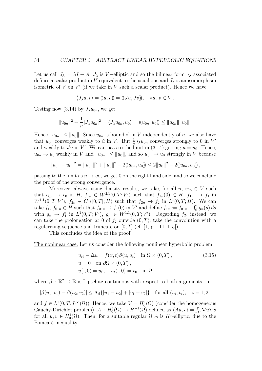Let us call  $J_{\lambda} := \lambda I + A$ .  $J_{\lambda}$  is V –elliptic and so the bilinear form  $a_{\lambda}$  associated defines a scalar product in V equivalent to the usual one and  $J_{\lambda}$  is an isomorphism isometric of  $V$  on  $V'$  (if we take in  $V$  such a scalar product). Hence we have

$$
\langle J_{\lambda}u, v \rangle = ((u, v)) = ((Ju, Jv))_{*} \quad \forall u, v \in V.
$$

Testing now (3.14) by  $J_{\lambda}u_{0n}$ , we get

$$
||u_{0n}||^2 + \frac{1}{n}|J_{\lambda}u_{0n}|^2 = \langle J_{\lambda}u_{0n}, u_0 \rangle = ((u_{0n}, u_0)] \le ||u_{0n}|| ||u_0||.
$$

Hence  $||u_{0n}|| \le ||u_0||$ . Since  $u_{0n}$  is bounded in V independently of n, we also have that  $u_{0n}$  converges weakly to  $\tilde{u}$  in V. But  $\frac{1}{n}J_{\lambda}u_{0n}$  converges strongly to 0 in V' and weakly to  $J\tilde{u}$  in V'. We can pass to the limit in (3.14) getting  $\tilde{u} = u_0$ . Hence,  $u_{0n} \to u_0$  weakly in V and  $||u_{0n}|| \le ||u_0||$ , and so  $u_{0n} \to u_0$  strongly in V because

$$
||u_{0n} - u_0||^2 = ||u_{0n}||^2 + ||u_0||^2 - 2((u_{0n}, u_0)) \le 2||u_0||^2 - 2((u_{0n}, u_0)),
$$

passing to the limit as  $n \to \infty$ , we get 0 on the right hand side, and so we conclude the proof of the strong convergence.

Moreover, always using density results, we take, for all  $n, v_{0n} \in V$  such that  $v_{0n} \to v_0$  in  $H, f_{1n} \in W^{2,1}(0,T;V')$  such that  $f_{1n}(0) \in H, f_{1,n} \to f_1$  in  $W^{1,1}(0,T;V')$ ,  $f_{2n} \in C^1([0,T];H)$  such that  $f_{2n} \to f_2$  in  $L^1(0,T;H)$ . We can take  $f_1, f_{01n} \in H$  such that  $f_{01n} \to f_1(0)$  in V' and define  $f_{1n} := f_{01n} + \int_0^t g_n(s) ds$ with  $g_n \to f'_1$  in  $L^1(0,T;V')$ ,  $g_n \in W^{1,1}(0,T;V')$ . Regarding  $f_2$ , instead, we can take the prolongation at 0 of  $f_2$  outside  $(0, T)$ , take the convolution with a regularizing sequence and truncate on  $[0, T]$  (cf.  $[1, p. 111-115]$ ).

This concludes the idea of the proof.

The nonlinear case. Let us consider the following nonlinear hyperbolic problem

$$
u_{tt} - \Delta u = f(x, t)\beta(u, u_t) \quad \text{in } \Omega \times (0, T),
$$
  
\n
$$
u = 0 \quad \text{on } \partial\Omega \times (0, T),
$$
  
\n
$$
u(\cdot, 0) = u_0, \quad u_t(\cdot, 0) = v_0 \quad \text{in } \Omega,
$$
\n(3.15)

where  $\beta : \mathbb{R}^2 \to \mathbb{R}$  is Lipschitz continuous with respect to both arguments, i.e.

$$
|\beta(u_1, v_1) - \beta(u_2, v_2)| \leq \Lambda_{\beta} \{|u_1 - u_2| + |v_1 - v_2|\} \text{ for all } (u_i, v_i), \quad i = 1, 2,
$$

and  $f \in L^1(0,T; L^{\infty}(\Omega))$ . Hence, we take  $V = H_0^1(\Omega)$  (consider the homogeneous Cauchy-Dirichlet problem),  $A: H_0^1(\Omega) \to H^{-1}(\Omega)$  defined as  $\langle Au, v \rangle = \int_{\Omega} \nabla u \nabla v$ for all  $u, v \in H_0^1(\Omega)$ . Then, for a suitable regular  $\Omega$  A is  $H_0^1$ -elliptic, due to the Poincaré inequality.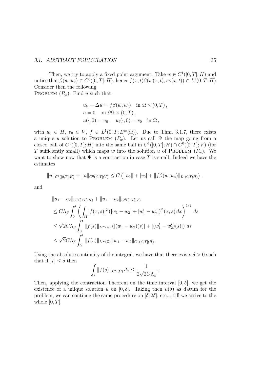#### 3.1. ABSTRACT FORMULATION 35

Then, we try to apply a fixed point argument. Take  $w \in C^1([0,T];H)$  and notice that  $\beta(w, w_t) \in C^0([0, T]; H)$ , hence  $f(x, t) \beta(w(x, t), w_t(x, t)) \in L^1(0, T; H)$ . Consider then the following

PROBLEM  $(P_w)$ . Find u such that

$$
u_{tt} - \Delta u = f\beta(w, w_t) \quad \text{in } \Omega \times (0, T),
$$
  
\n
$$
u = 0 \quad \text{on } \partial\Omega \times (0, T),
$$
  
\n
$$
u(\cdot, 0) = u_0, \quad u_t(\cdot, 0) = v_0 \quad \text{in } \Omega,
$$

with  $u_0 \in H$ ,  $v_0 \in V$ ,  $f \in L^1(0,T; L^{\infty}(\Omega))$ . Due to Thm. 3.1.7, there exists a unique u solution to PROBLEM  $(P_w)$ . Let us call  $\Psi$  the map going from a closed ball of  $C^1([0,T];H)$  into the same ball in  $C^1([0,T];H) \cap C^0([0,T];V)$  (for T sufficiently small) which maps w into the solution u of PROBLEM  $(P_w)$ . We want to show now that  $\Psi$  is a contraction in case T is small. Indeed we have the estimates

$$
||u||_{C^{1}([0,T];H)} + ||u||_{C^{0}([0,T];V)} \leq C (||u_0|| + |v_0| + ||f\beta(w,w_t)||_{L^{1}(0,T;H)}).
$$

and

$$
||u_1 - u_2||_{C^1([0,T];H)} + ||u_1 - u_2||_{C^0([0,T];V)}
$$
  
\n
$$
\leq C\Lambda_{\beta} \int_0^t \left( \int_{\Omega} |f(x,s)|^2 (|w_1 - w_2| + |w'_1 - w'_2|)^2 (x,s) dx \right)^{1/2} ds
$$
  
\n
$$
\leq \sqrt{2}C\Lambda_{\beta} \int_0^t ||f(s)||_{L^{\infty}(\Omega)} (|(w_1 - w_2)(s)| + |(w'_1 - w'_2)(s)|) ds
$$
  
\n
$$
\leq \sqrt{2}C\Lambda_{\beta} \int_0^t ||f(s)||_{L^{\infty}(\Omega)} ||w_1 - w_2||_{C^1([0,T];H)}.
$$

Using the absolute continuity of the integral, we have that there exists  $\delta > 0$  such that if  $|I| \leq \delta$  then

$$
\int_I ||f(s)||_{L^{\infty}(\Omega)} ds \leq \frac{1}{2\sqrt{2}C\Lambda_{\beta}}.
$$

Then, applying the contraction Theorem on the time interval  $[0, \delta]$ , we get the existence of a unique solution u on  $[0, \delta]$ . Taking then  $u(\delta)$  as datum for the problem, we can continue the same procedure on  $[\delta, 2\delta]$ , etc... till we arrive to the whole  $[0, T]$ .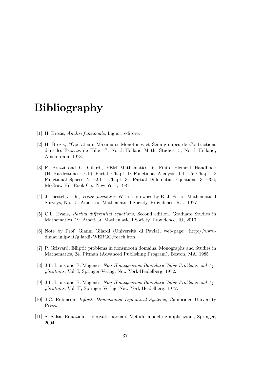# Bibliography

- [1] H. Brezis, Analisi funzionale, Liguori editore.
- [2] H. Brezis, "Opérateurs Maximaux Monotones et Semi-groupes de Contractions dans les Espaces de Hilbert", North-Holland Math. Studies, 5, North-Holland, Amsterdam, 1973.
- [3] F. Brezzi and G. Gilardi, FEM Mathematics, in Finite Element Handbook (H. Kardestuncer Ed.), Part I: Chapt. 1: Functional Analysis, 1.1–1.5; Chapt. 2: Functional Spaces, 2.1–2.11; Chapt. 3: Partial Differential Equations, 3.1–3.6, McGraw-Hill Book Co., New York, 1987.
- [4] J. Diestel, J.Uhl, Vector measures, With a foreword by B. J. Pettis. Mathematical Surveys, No. 15. American Mathematical Society, Providence, R.I., 1977
- [5] C.L. Evans, Partial differential equations, Second edition. Graduate Studies in Mathematics, 19. American Mathematical Society, Providence, RI, 2010.
- [6] Note by Prof. Gianni Gilardi (Universit`a di Pavia), web-page: http://wwwdimat.unipv.it/gilardi/WEBGG/teach.htm.
- [7] P. Grisvard, Elliptic problems in nonsmooth domains. Monographs and Studies in Mathematics, 24. Pitman (Advanced Publishing Program), Boston, MA, 1985.
- [8] J.L. Lions and E. Magenes, Non-Homogeneous Boundary Value Problems and Applications, Vol. I, Springer-Verlag, New York-Heidelberg, 1972.
- [9] J.L. Lions and E. Magenes, Non-Homogeneous Boundary Value Problems and Applications, Vol. II, Springer-Verlag, New York-Heidelberg, 1972.
- [10] J.C. Robinson, Infinite-Dimensional Dynamical Systems, Cambridge University Press.
- [11] S. Salsa, Equazioni a derivate parziali. Metodi, modelli e applicazioni, Springer, 2004.